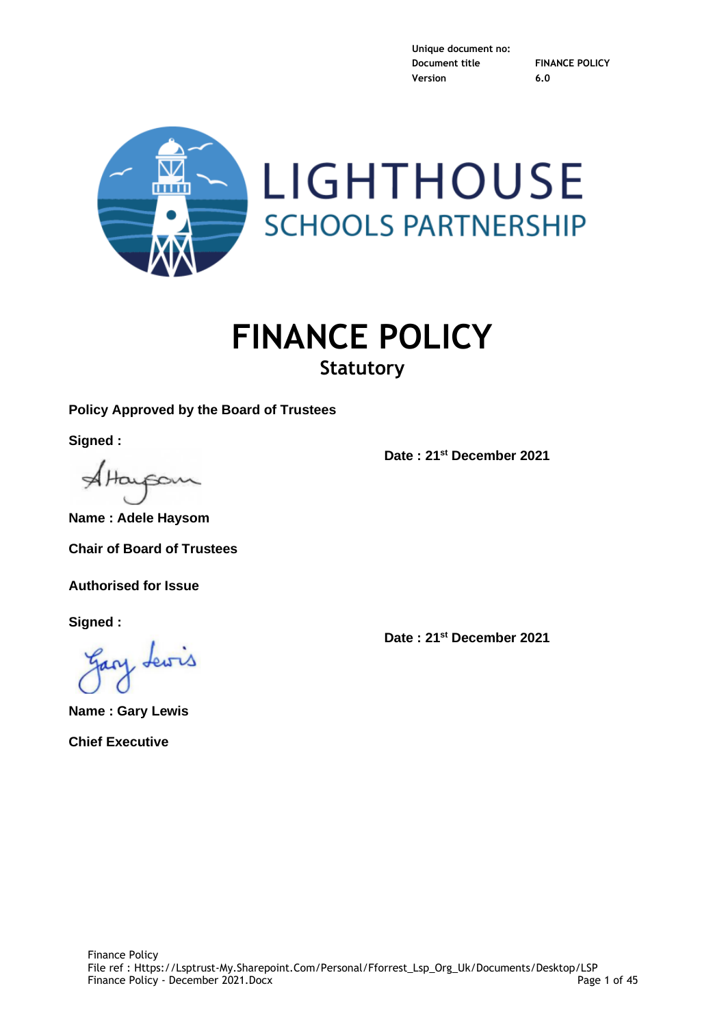

# **FINANCE POLICY Statutory**

# **Policy Approved by the Board of Trustees**

**Signed :**

AHayso

**Name : Adele Haysom**

**Chair of Board of Trustees**

**Authorised for Issue**

**Signed :**

**Name : Gary Lewis Chief Executive**

**Date : 21st December 2021**

**Date : 21st December 2021**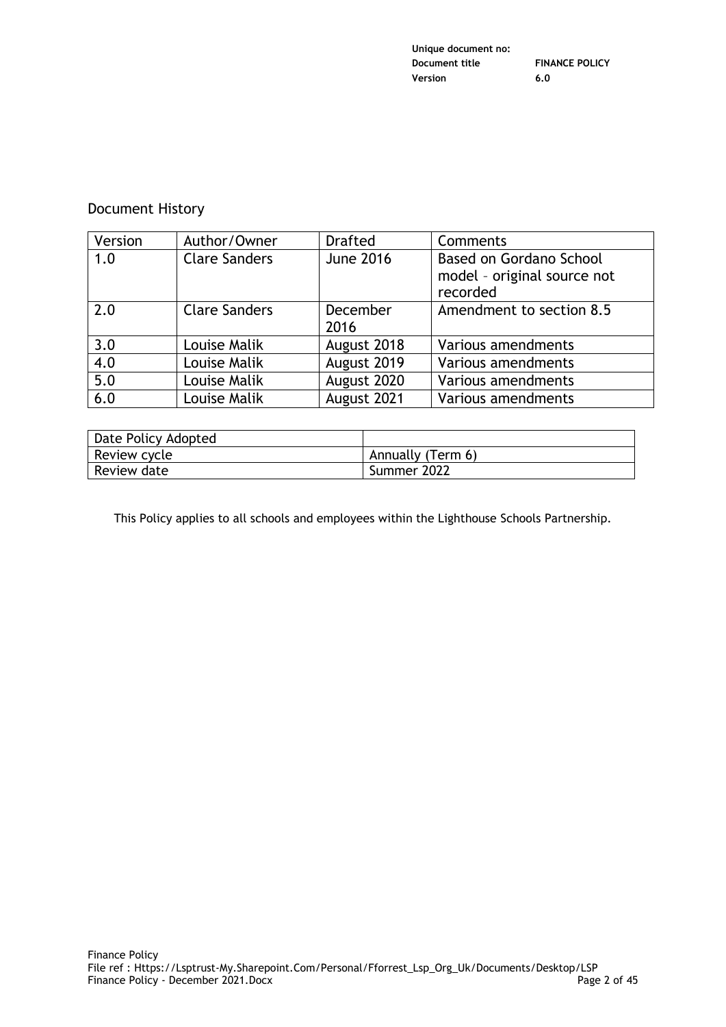| Unique document no: |                       |
|---------------------|-----------------------|
| Document title      | <b>FINANCE POLICY</b> |
| Version             | 6.0                   |

# Document History

| Version | Author/Owner         | <b>Drafted</b>   | Comments                                                                  |
|---------|----------------------|------------------|---------------------------------------------------------------------------|
| 1.0     | <b>Clare Sanders</b> | <b>June 2016</b> | <b>Based on Gordano School</b><br>model - original source not<br>recorded |
| 2.0     | <b>Clare Sanders</b> | December<br>2016 | Amendment to section 8.5                                                  |
| 3.0     | Louise Malik         | August 2018      | Various amendments                                                        |
| 4.0     | Louise Malik         | August 2019      | Various amendments                                                        |
| 5.0     | Louise Malik         | August 2020      | Various amendments                                                        |
| 6.0     | Louise Malik         | August 2021      | Various amendments                                                        |

| Date Policy Adopted |                   |
|---------------------|-------------------|
| Review cycle        | Annually (Term 6) |
| Review date         | Summer 2022       |

This Policy applies to all schools and employees within the Lighthouse Schools Partnership.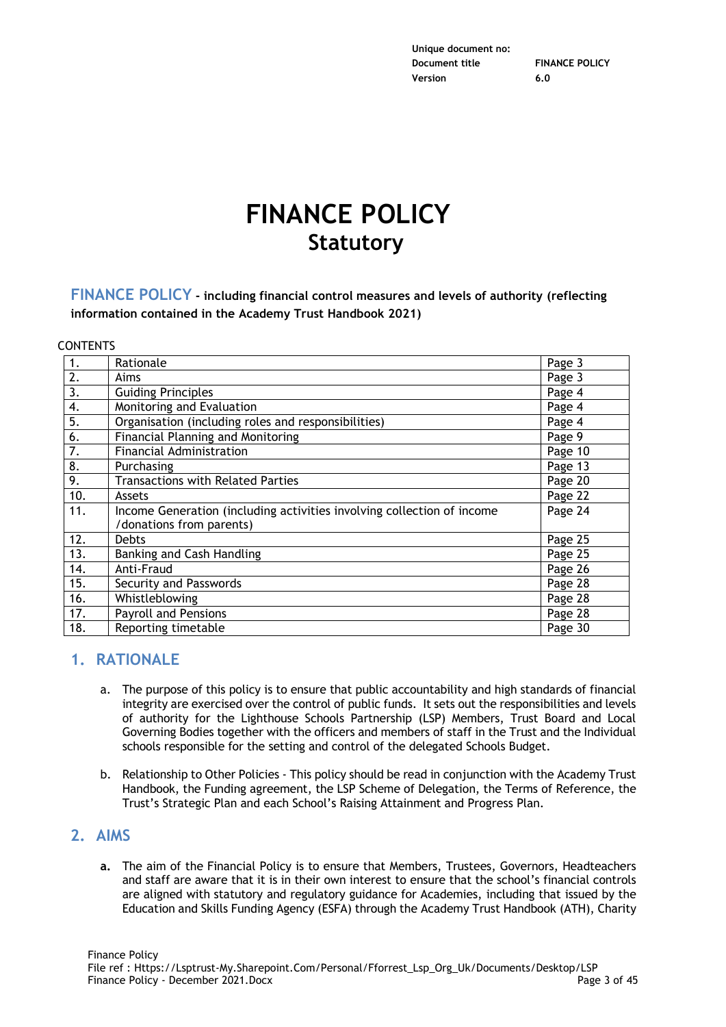# **FINANCE POLICY Statutory**

**FINANCE POLICY - including financial control measures and levels of authority (reflecting information contained in the Academy Trust Handbook 2021)**

#### **CONTENTS**

| 1.  | Rationale                                                              | Page 3  |
|-----|------------------------------------------------------------------------|---------|
| 2.  | Aims                                                                   | Page 3  |
| 3.  | <b>Guiding Principles</b>                                              | Page 4  |
| 4.  | Monitoring and Evaluation                                              | Page 4  |
| 5.  | Organisation (including roles and responsibilities)                    | Page 4  |
| 6.  | <b>Financial Planning and Monitoring</b>                               | Page 9  |
| 7.  | <b>Financial Administration</b>                                        | Page 10 |
| 8.  | Purchasing                                                             | Page 13 |
| 9.  | <b>Transactions with Related Parties</b>                               | Page 20 |
| 10. | Assets                                                                 | Page 22 |
| 11. | Income Generation (including activities involving collection of income | Page 24 |
|     | /donations from parents)                                               |         |
| 12. | <b>Debts</b>                                                           | Page 25 |
| 13. | Banking and Cash Handling                                              | Page 25 |
| 14. | Anti-Fraud                                                             | Page 26 |
| 15. | Security and Passwords                                                 | Page 28 |
| 16. | Whistleblowing                                                         | Page 28 |
| 17. | <b>Payroll and Pensions</b>                                            | Page 28 |
| 18. | Reporting timetable                                                    | Page 30 |

# **1. RATIONALE**

- a. The purpose of this policy is to ensure that public accountability and high standards of financial integrity are exercised over the control of public funds. It sets out the responsibilities and levels of authority for the Lighthouse Schools Partnership (LSP) Members, Trust Board and Local Governing Bodies together with the officers and members of staff in the Trust and the Individual schools responsible for the setting and control of the delegated Schools Budget.
- b. Relationship to Other Policies This policy should be read in conjunction with the Academy Trust Handbook, the Funding agreement, the LSP Scheme of Delegation, the Terms of Reference, the Trust's Strategic Plan and each School's Raising Attainment and Progress Plan.

# **2. AIMS**

**a.** The aim of the Financial Policy is to ensure that Members, Trustees, Governors, Headteachers and staff are aware that it is in their own interest to ensure that the school's financial controls are aligned with statutory and regulatory guidance for Academies, including that issued by the Education and Skills Funding Agency (ESFA) through the Academy Trust Handbook (ATH), Charity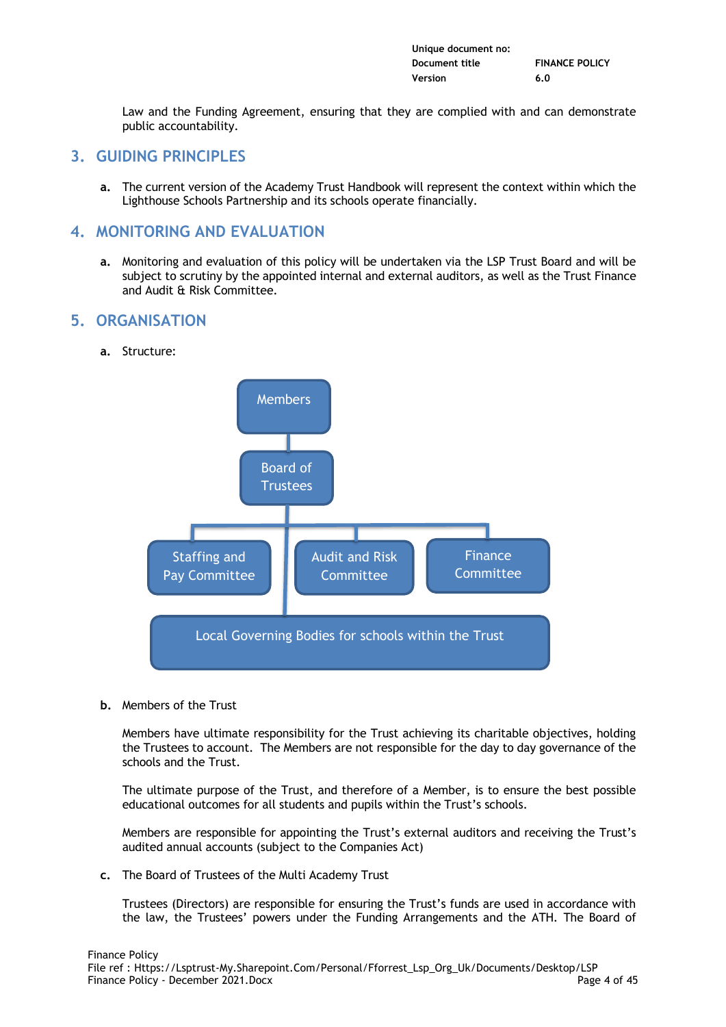| Unique document no: |                       |
|---------------------|-----------------------|
| Document title      | <b>FINANCE POLICY</b> |
| Version             | 6.0                   |

Law and the Funding Agreement, ensuring that they are complied with and can demonstrate public accountability.

# **3. GUIDING PRINCIPLES**

**a.** The current version of the Academy Trust Handbook will represent the context within which the Lighthouse Schools Partnership and its schools operate financially.

# **4. MONITORING AND EVALUATION**

**a.** Monitoring and evaluation of this policy will be undertaken via the LSP Trust Board and will be subject to scrutiny by the appointed internal and external auditors, as well as the Trust Finance and Audit & Risk Committee.

# **5. ORGANISATION**

**a.** Structure:



**b.** Members of the Trust

Members have ultimate responsibility for the Trust achieving its charitable objectives, holding the Trustees to account. The Members are not responsible for the day to day governance of the schools and the Trust.

The ultimate purpose of the Trust, and therefore of a Member, is to ensure the best possible educational outcomes for all students and pupils within the Trust's schools.

Members are responsible for appointing the Trust's external auditors and receiving the Trust's audited annual accounts (subject to the Companies Act)

**c.** The Board of Trustees of the Multi Academy Trust

Trustees (Directors) are responsible for ensuring the Trust's funds are used in accordance with the law, the Trustees' powers under the Funding Arrangements and the ATH. The Board of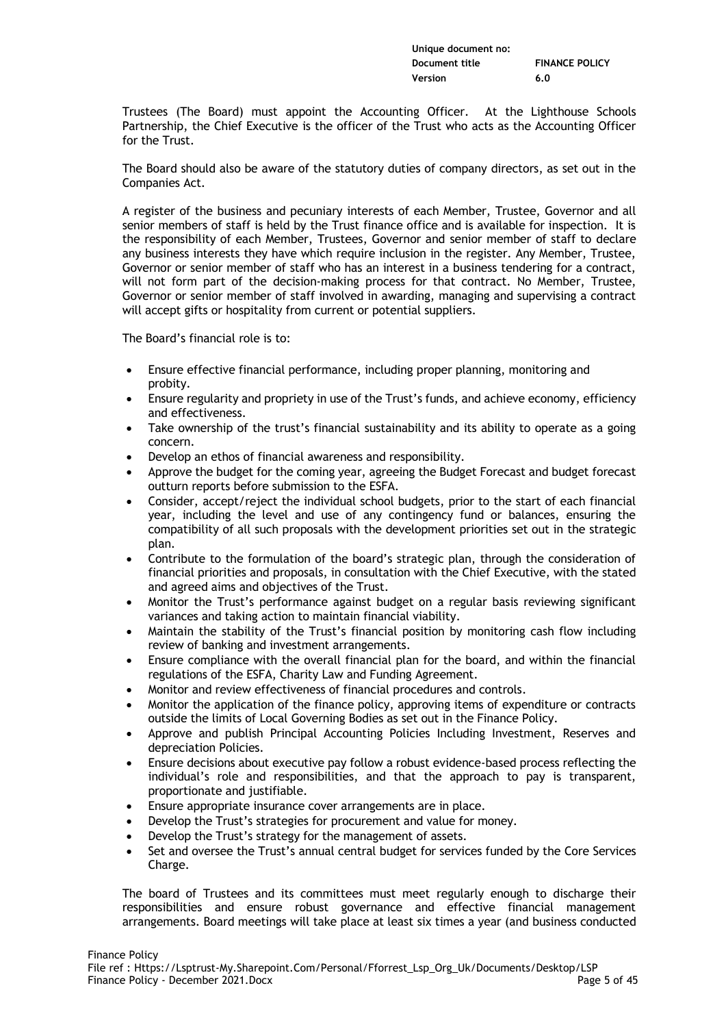| Unique document no: |                       |
|---------------------|-----------------------|
| Document title      | <b>FINANCE POLICY</b> |
| Version             | 6.0                   |

Trustees (The Board) must appoint the Accounting Officer. At the Lighthouse Schools Partnership, the Chief Executive is the officer of the Trust who acts as the Accounting Officer for the Trust.

The Board should also be aware of the statutory duties of company directors, as set out in the Companies Act.

A register of the business and pecuniary interests of each Member, Trustee, Governor and all senior members of staff is held by the Trust finance office and is available for inspection. It is the responsibility of each Member, Trustees, Governor and senior member of staff to declare any business interests they have which require inclusion in the register. Any Member, Trustee, Governor or senior member of staff who has an interest in a business tendering for a contract, will not form part of the decision-making process for that contract. No Member, Trustee, Governor or senior member of staff involved in awarding, managing and supervising a contract will accept gifts or hospitality from current or potential suppliers.

The Board's financial role is to:

- Ensure effective financial performance, including proper planning, monitoring and probity.
- Ensure regularity and propriety in use of the Trust's funds, and achieve economy, efficiency and effectiveness.
- Take ownership of the trust's financial sustainability and its ability to operate as a going concern.
- Develop an ethos of financial awareness and responsibility.
- Approve the budget for the coming year, agreeing the Budget Forecast and budget forecast outturn reports before submission to the ESFA.
- Consider, accept/reject the individual school budgets, prior to the start of each financial year, including the level and use of any contingency fund or balances, ensuring the compatibility of all such proposals with the development priorities set out in the strategic plan.
- Contribute to the formulation of the board's strategic plan, through the consideration of financial priorities and proposals, in consultation with the Chief Executive, with the stated and agreed aims and objectives of the Trust.
- Monitor the Trust's performance against budget on a regular basis reviewing significant variances and taking action to maintain financial viability.
- Maintain the stability of the Trust's financial position by monitoring cash flow including review of banking and investment arrangements.
- Ensure compliance with the overall financial plan for the board, and within the financial regulations of the ESFA, Charity Law and Funding Agreement.
- Monitor and review effectiveness of financial procedures and controls.
- Monitor the application of the finance policy, approving items of expenditure or contracts outside the limits of Local Governing Bodies as set out in the Finance Policy.
- Approve and publish Principal Accounting Policies Including Investment, Reserves and depreciation Policies.
- Ensure decisions about executive pay follow a robust evidence-based process reflecting the individual's role and responsibilities, and that the approach to pay is transparent, proportionate and justifiable.
- Ensure appropriate insurance cover arrangements are in place.
- Develop the Trust's strategies for procurement and value for money.
- Develop the Trust's strategy for the management of assets.
- Set and oversee the Trust's annual central budget for services funded by the Core Services Charge.

The board of Trustees and its committees must meet regularly enough to discharge their responsibilities and ensure robust governance and effective financial management arrangements. Board meetings will take place at least six times a year (and business conducted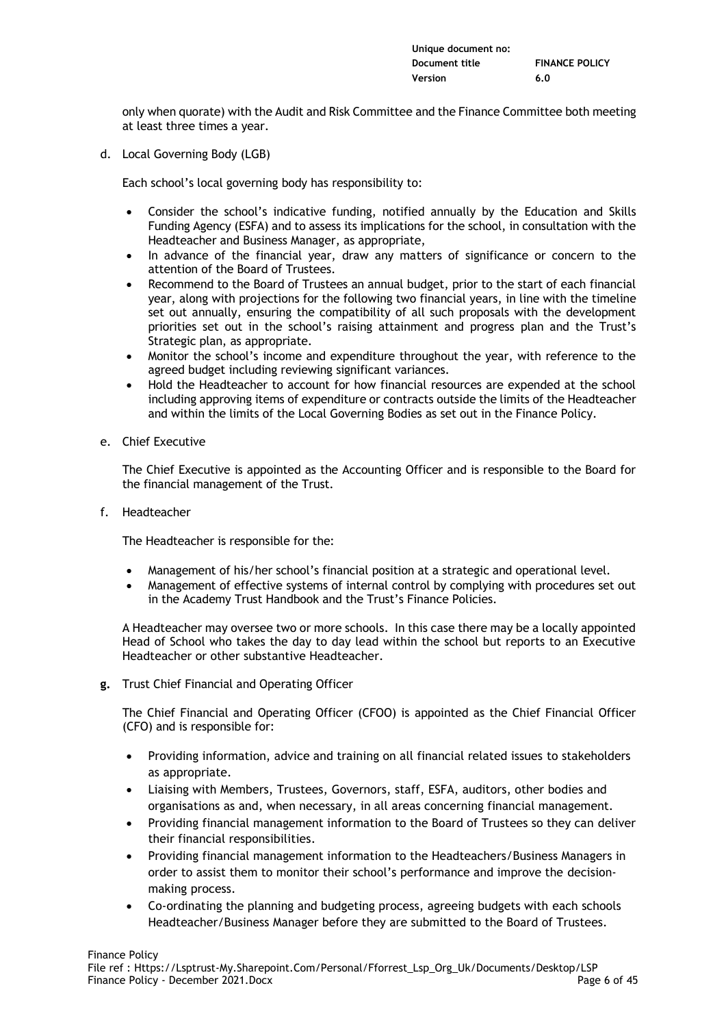| Unique document no: |                       |
|---------------------|-----------------------|
| Document title      | <b>FINANCE POLICY</b> |
| Version             | 6.0                   |

only when quorate) with the Audit and Risk Committee and the Finance Committee both meeting at least three times a year.

d. Local Governing Body (LGB)

Each school's local governing body has responsibility to:

- Consider the school's indicative funding, notified annually by the Education and Skills Funding Agency (ESFA) and to assess its implications for the school, in consultation with the Headteacher and Business Manager, as appropriate,
- In advance of the financial year, draw any matters of significance or concern to the attention of the Board of Trustees.
- Recommend to the Board of Trustees an annual budget, prior to the start of each financial year, along with projections for the following two financial years, in line with the timeline set out annually, ensuring the compatibility of all such proposals with the development priorities set out in the school's raising attainment and progress plan and the Trust's Strategic plan, as appropriate.
- Monitor the school's income and expenditure throughout the year, with reference to the agreed budget including reviewing significant variances.
- Hold the Headteacher to account for how financial resources are expended at the school including approving items of expenditure or contracts outside the limits of the Headteacher and within the limits of the Local Governing Bodies as set out in the Finance Policy.
- e. Chief Executive

The Chief Executive is appointed as the Accounting Officer and is responsible to the Board for the financial management of the Trust.

f. Headteacher

The Headteacher is responsible for the:

- Management of his/her school's financial position at a strategic and operational level.
- Management of effective systems of internal control by complying with procedures set out in the Academy Trust Handbook and the Trust's Finance Policies.

A Headteacher may oversee two or more schools. In this case there may be a locally appointed Head of School who takes the day to day lead within the school but reports to an Executive Headteacher or other substantive Headteacher.

**g.** Trust Chief Financial and Operating Officer

The Chief Financial and Operating Officer (CFOO) is appointed as the Chief Financial Officer (CFO) and is responsible for:

- Providing information, advice and training on all financial related issues to stakeholders as appropriate.
- Liaising with Members, Trustees, Governors, staff, ESFA, auditors, other bodies and organisations as and, when necessary, in all areas concerning financial management.
- Providing financial management information to the Board of Trustees so they can deliver their financial responsibilities.
- Providing financial management information to the Headteachers/Business Managers in order to assist them to monitor their school's performance and improve the decisionmaking process.
- Co-ordinating the planning and budgeting process, agreeing budgets with each schools Headteacher/Business Manager before they are submitted to the Board of Trustees.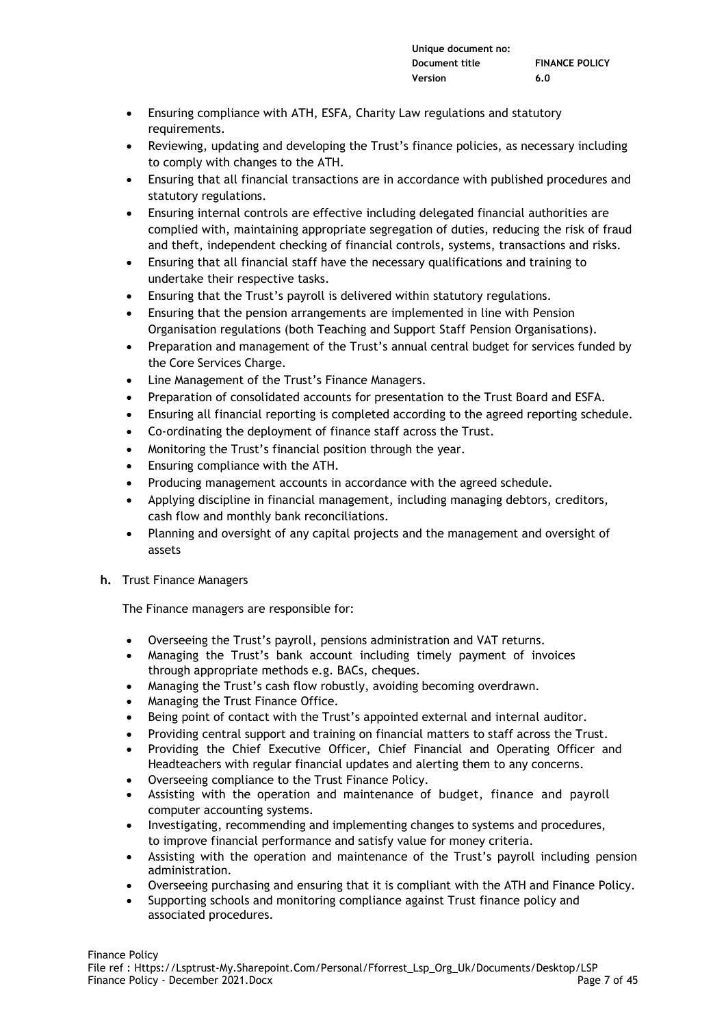- Ensuring compliance with ATH, ESFA, Charity Law regulations and statutory requirements.
- Reviewing, updating and developing the Trust's finance policies, as necessary including to comply with changes to the ATH.
- Ensuring that all financial transactions are in accordance with published procedures and statutory regulations.
- Ensuring internal controls are effective including delegated financial authorities are complied with, maintaining appropriate segregation of duties, reducing the risk of fraud and theft, independent checking of financial controls, systems, transactions and risks.
- Ensuring that all financial staff have the necessary qualifications and training to undertake their respective tasks.
- Ensuring that the Trust's payroll is delivered within statutory regulations.
- Ensuring that the pension arrangements are implemented in line with Pension Organisation regulations (both Teaching and Support Staff Pension Organisations).
- Preparation and management of the Trust's annual central budget for services funded by the Core Services Charge.
- Line Management of the Trust's Finance Managers.
- Preparation of consolidated accounts for presentation to the Trust Board and ESFA.
- Ensuring all financial reporting is completed according to the agreed reporting schedule.
- Co-ordinating the deployment of finance staff across the Trust.
- Monitoring the Trust's financial position through the year.
- Ensuring compliance with the ATH.
- Producing management accounts in accordance with the agreed schedule.
- Applying discipline in financial management, including managing debtors, creditors, cash flow and monthly bank reconciliations.
- Planning and oversight of any capital projects and the management and oversight of assets
- **h.** Trust Finance Managers

The Finance managers are responsible for:

- Overseeing the Trust's payroll, pensions administration and VAT returns.
- Managing the Trust's bank account including timely payment of invoices through appropriate methods e.g. BACs, cheques.
- Managing the Trust's cash flow robustly, avoiding becoming overdrawn.
- Managing the Trust Finance Office.
- Being point of contact with the Trust's appointed external and internal auditor.
- Providing central support and training on financial matters to staff across the Trust.
- Providing the Chief Executive Officer, Chief Financial and Operating Officer and Headteachers with regular financial updates and alerting them to any concerns.
- Overseeing compliance to the Trust Finance Policy.
- Assisting with the operation and maintenance of budget, finance and payroll computer accounting systems.
- Investigating, recommending and implementing changes to systems and procedures, to improve financial performance and satisfy value for money criteria.
- Assisting with the operation and maintenance of the Trust's payroll including pension administration.
- Overseeing purchasing and ensuring that it is compliant with the ATH and Finance Policy.
- Supporting schools and monitoring compliance against Trust finance policy and associated procedures.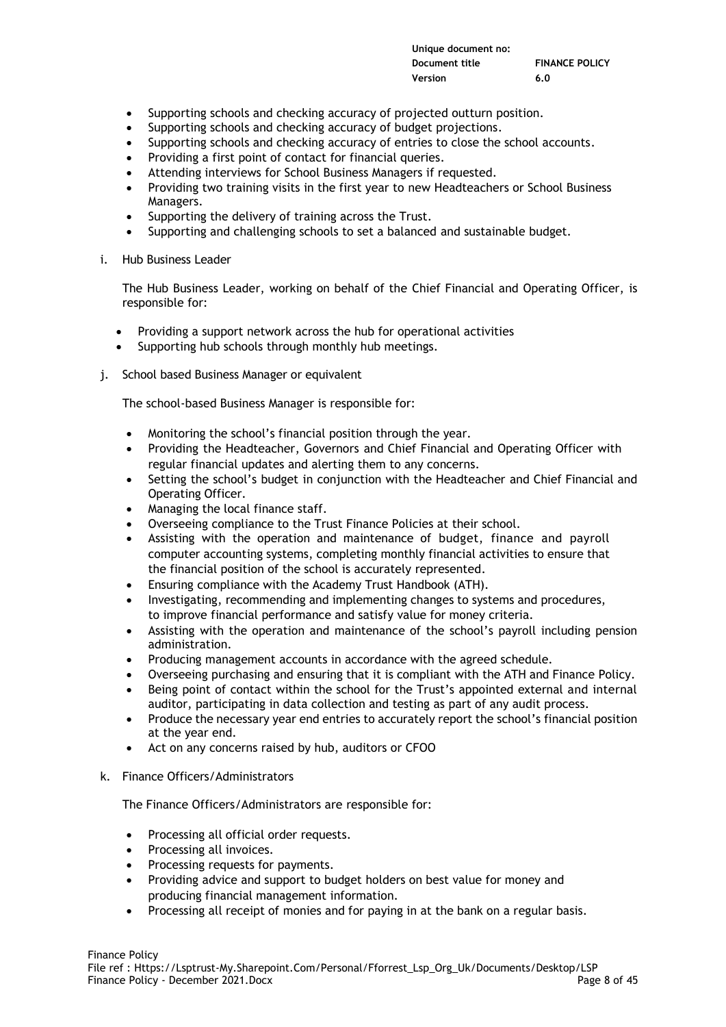| Unique document no: |                       |
|---------------------|-----------------------|
| Document title      | <b>FINANCE POLICY</b> |
| Version             | 6.0                   |

- Supporting schools and checking accuracy of projected outturn position.
- Supporting schools and checking accuracy of budget projections.
- Supporting schools and checking accuracy of entries to close the school accounts.
- Providing a first point of contact for financial queries.
- Attending interviews for School Business Managers if requested.
- Providing two training visits in the first year to new Headteachers or School Business Managers.
- Supporting the delivery of training across the Trust.
- Supporting and challenging schools to set a balanced and sustainable budget.
- i. Hub Business Leader

The Hub Business Leader, working on behalf of the Chief Financial and Operating Officer, is responsible for:

- Providing a support network across the hub for operational activities
- Supporting hub schools through monthly hub meetings.
- j. School based Business Manager or equivalent

The school-based Business Manager is responsible for:

- Monitoring the school's financial position through the year.
- Providing the Headteacher, Governors and Chief Financial and Operating Officer with regular financial updates and alerting them to any concerns.
- Setting the school's budget in conjunction with the Headteacher and Chief Financial and Operating Officer.
- Managing the local finance staff.
- Overseeing compliance to the Trust Finance Policies at their school.
- Assisting with the operation and maintenance of budget, finance and payroll computer accounting systems, completing monthly financial activities to ensure that the financial position of the school is accurately represented.
- Ensuring compliance with the Academy Trust Handbook (ATH).
- Investigating, recommending and implementing changes to systems and procedures, to improve financial performance and satisfy value for money criteria.
- Assisting with the operation and maintenance of the school's payroll including pension administration.
- Producing management accounts in accordance with the agreed schedule.
- Overseeing purchasing and ensuring that it is compliant with the ATH and Finance Policy.
- Being point of contact within the school for the Trust's appointed external and internal auditor, participating in data collection and testing as part of any audit process.
- Produce the necessary year end entries to accurately report the school's financial position at the year end.
- Act on any concerns raised by hub, auditors or CFOO
- k. Finance Officers/Administrators

The Finance Officers/Administrators are responsible for:

- Processing all official order requests.
- Processing all invoices.
- Processing requests for payments.
- Providing advice and support to budget holders on best value for money and producing financial management information.
- Processing all receipt of monies and for paying in at the bank on a regular basis.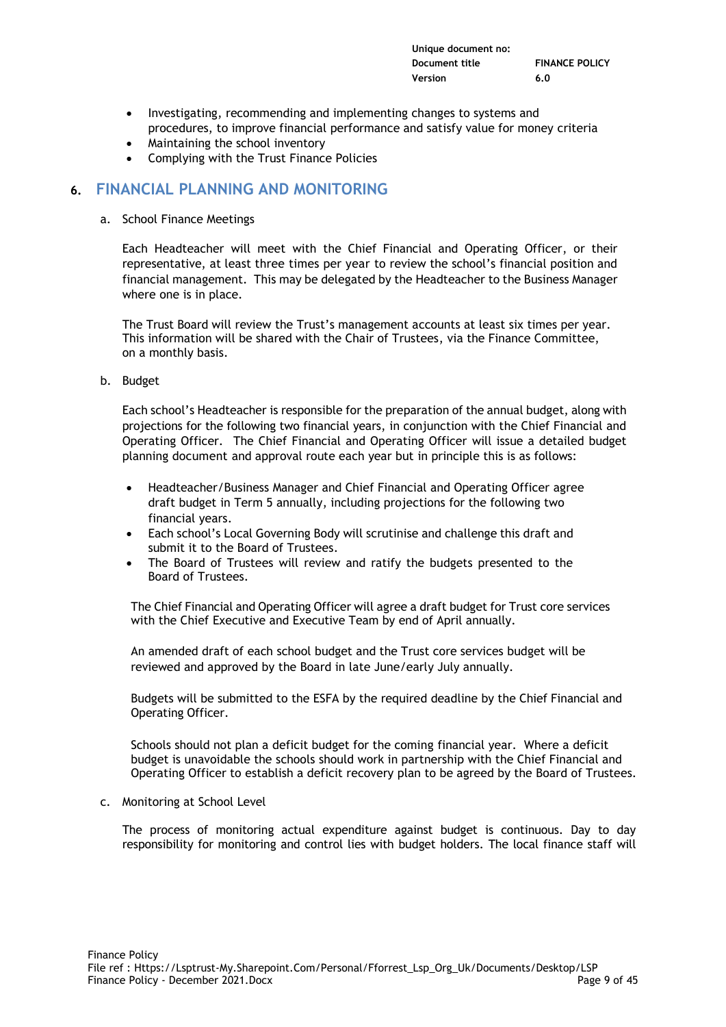| Unique document no: |                       |
|---------------------|-----------------------|
| Document title      | <b>FINANCE POLICY</b> |
| Version             | 6.0                   |

- Investigating, recommending and implementing changes to systems and procedures, to improve financial performance and satisfy value for money criteria
- Maintaining the school inventory
- Complying with the Trust Finance Policies

# **6. FINANCIAL PLANNING AND MONITORING**

a. School Finance Meetings

Each Headteacher will meet with the Chief Financial and Operating Officer, or their representative, at least three times per year to review the school's financial position and financial management. This may be delegated by the Headteacher to the Business Manager where one is in place.

The Trust Board will review the Trust's management accounts at least six times per year. This information will be shared with the Chair of Trustees, via the Finance Committee, on a monthly basis.

b. Budget

Each school's Headteacher is responsible for the preparation of the annual budget, along with projections for the following two financial years, in conjunction with the Chief Financial and Operating Officer. The Chief Financial and Operating Officer will issue a detailed budget planning document and approval route each year but in principle this is as follows:

- Headteacher/Business Manager and Chief Financial and Operating Officer agree draft budget in Term 5 annually, including projections for the following two financial years.
- Each school's Local Governing Body will scrutinise and challenge this draft and submit it to the Board of Trustees.
- The Board of Trustees will review and ratify the budgets presented to the Board of Trustees.

The Chief Financial and Operating Officer will agree a draft budget for Trust core services with the Chief Executive and Executive Team by end of April annually.

An amended draft of each school budget and the Trust core services budget will be reviewed and approved by the Board in late June/early July annually.

Budgets will be submitted to the ESFA by the required deadline by the Chief Financial and Operating Officer.

Schools should not plan a deficit budget for the coming financial year. Where a deficit budget is unavoidable the schools should work in partnership with the Chief Financial and Operating Officer to establish a deficit recovery plan to be agreed by the Board of Trustees.

c. Monitoring at School Level

The process of monitoring actual expenditure against budget is continuous. Day to day responsibility for monitoring and control lies with budget holders. The local finance staff will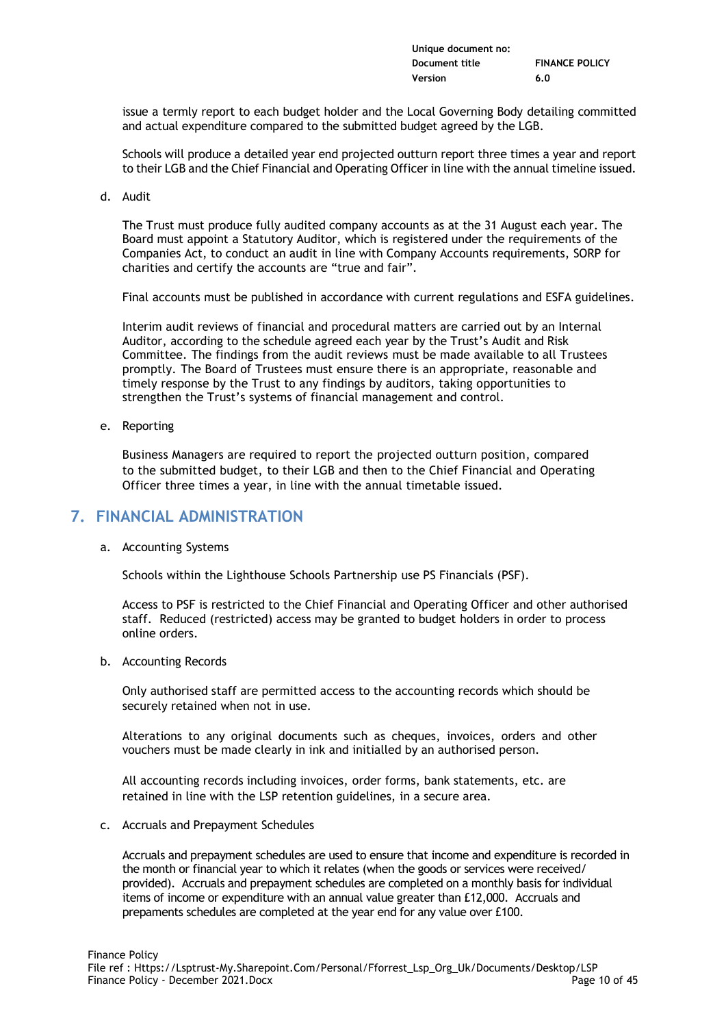| Unique document no: |                       |
|---------------------|-----------------------|
| Document title      | <b>FINANCE POLICY</b> |
| Version             | 6.0                   |

issue a termly report to each budget holder and the Local Governing Body detailing committed and actual expenditure compared to the submitted budget agreed by the LGB.

Schools will produce a detailed year end projected outturn report three times a year and report to their LGB and the Chief Financial and Operating Officer in line with the annual timeline issued.

d. Audit

The Trust must produce fully audited company accounts as at the 31 August each year. The Board must appoint a Statutory Auditor, which is registered under the requirements of the Companies Act, to conduct an audit in line with Company Accounts requirements, SORP for charities and certify the accounts are "true and fair".

Final accounts must be published in accordance with current regulations and ESFA guidelines.

Interim audit reviews of financial and procedural matters are carried out by an Internal Auditor, according to the schedule agreed each year by the Trust's Audit and Risk Committee. The findings from the audit reviews must be made available to all Trustees promptly. The Board of Trustees must ensure there is an appropriate, reasonable and timely response by the Trust to any findings by auditors, taking opportunities to strengthen the Trust's systems of financial management and control.

e. Reporting

Business Managers are required to report the projected outturn position, compared to the submitted budget, to their LGB and then to the Chief Financial and Operating Officer three times a year, in line with the annual timetable issued.

# **7. FINANCIAL ADMINISTRATION**

a. Accounting Systems

Schools within the Lighthouse Schools Partnership use PS Financials (PSF).

Access to PSF is restricted to the Chief Financial and Operating Officer and other authorised staff. Reduced (restricted) access may be granted to budget holders in order to process online orders.

b. Accounting Records

Only authorised staff are permitted access to the accounting records which should be securely retained when not in use.

Alterations to any original documents such as cheques, invoices, orders and other vouchers must be made clearly in ink and initialled by an authorised person.

All accounting records including invoices, order forms, bank statements, etc. are retained in line with the LSP retention guidelines, in a secure area.

c. Accruals and Prepayment Schedules

Accruals and prepayment schedules are used to ensure that income and expenditure is recorded in the month or financial year to which it relates (when the goods or services were received/ provided). Accruals and prepayment schedules are completed on a monthly basis for individual items of income or expenditure with an annual value greater than £12,000. Accruals and prepaments schedules are completed at the year end for any value over £100.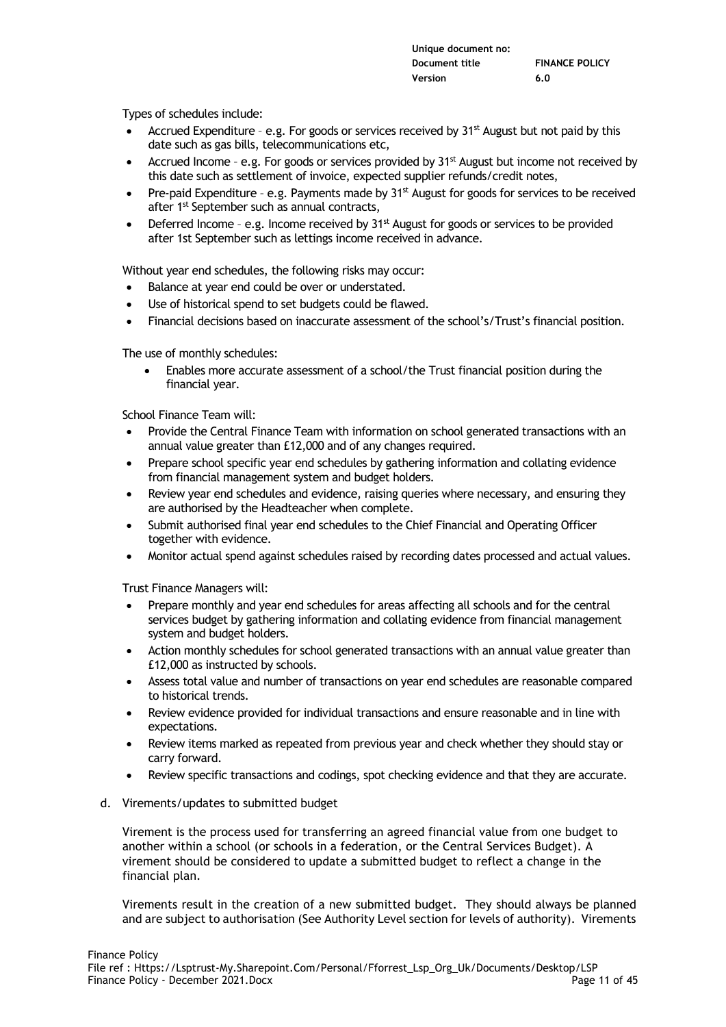| Unique document no: |                       |
|---------------------|-----------------------|
| Document title      | <b>FINANCE POLICY</b> |
| Version             | 6.0                   |

Types of schedules include:

- Accrued Expenditure e.g. For goods or services received by 31<sup>st</sup> August but not paid by this date such as gas bills, telecommunications etc,
- Accrued Income e.g. For goods or services provided by 31<sup>st</sup> August but income not received by this date such as settlement of invoice, expected supplier refunds/credit notes,
- Pre-paid Expenditure e.g. Payments made by 31<sup>st</sup> August for goods for services to be received after 1<sup>st</sup> September such as annual contracts,
- Deferred Income e.g. Income received by  $31<sup>st</sup>$  August for goods or services to be provided after 1st September such as lettings income received in advance.

Without year end schedules, the following risks may occur:

- Balance at year end could be over or understated.
- Use of historical spend to set budgets could be flawed.
- Financial decisions based on inaccurate assessment of the school's/Trust's financial position.

The use of monthly schedules:

• Enables more accurate assessment of a school/the Trust financial position during the financial year.

School Finance Team will:

- Provide the Central Finance Team with information on school generated transactions with an annual value greater than £12,000 and of any changes required.
- Prepare school specific year end schedules by gathering information and collating evidence from financial management system and budget holders.
- Review year end schedules and evidence, raising queries where necessary, and ensuring they are authorised by the Headteacher when complete.
- Submit authorised final year end schedules to the Chief Financial and Operating Officer together with evidence.
- Monitor actual spend against schedules raised by recording dates processed and actual values.

Trust Finance Managers will:

- Prepare monthly and year end schedules for areas affecting all schools and for the central services budget by gathering information and collating evidence from financial management system and budget holders.
- Action monthly schedules for school generated transactions with an annual value greater than £12,000 as instructed by schools.
- Assess total value and number of transactions on year end schedules are reasonable compared to historical trends.
- Review evidence provided for individual transactions and ensure reasonable and in line with expectations.
- Review items marked as repeated from previous year and check whether they should stay or carry forward.
- Review specific transactions and codings, spot checking evidence and that they are accurate.
- d. Virements/updates to submitted budget

Virement is the process used for transferring an agreed financial value from one budget to another within a school (or schools in a federation, or the Central Services Budget). A virement should be considered to update a submitted budget to reflect a change in the financial plan.

Virements result in the creation of a new submitted budget. They should always be planned and are subject to authorisation (See Authority Level section for levels of authority). Virements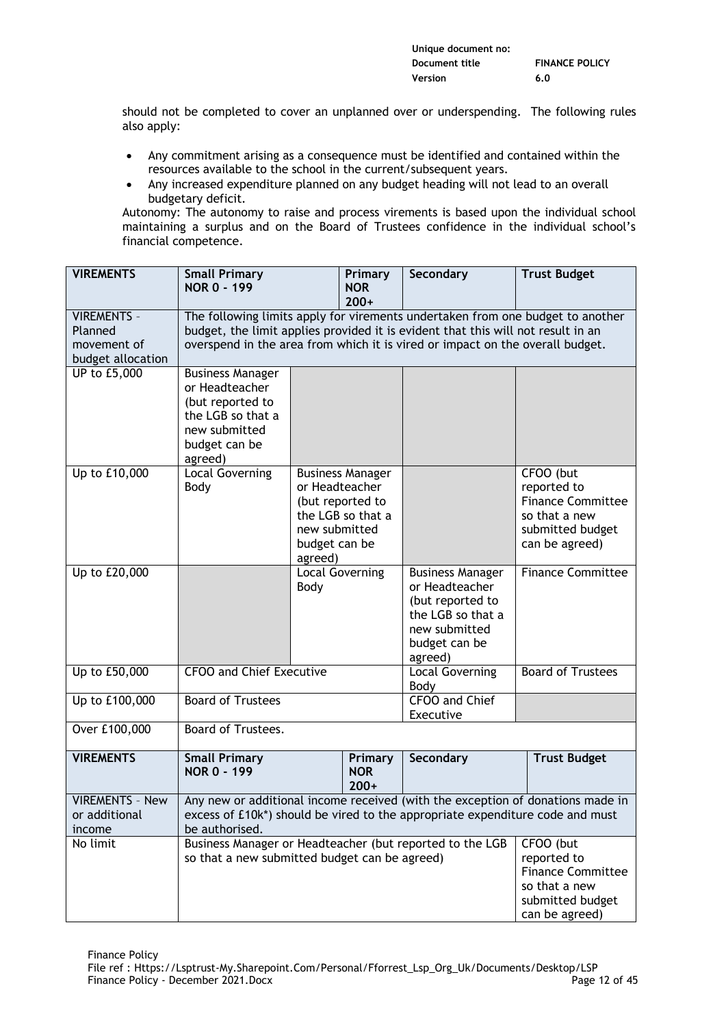| Unique document no: |                       |
|---------------------|-----------------------|
| Document title      | <b>FINANCE POLICY</b> |
| Version             | 6.0                   |

should not be completed to cover an unplanned over or underspending. The following rules also apply:

- Any commitment arising as a consequence must be identified and contained within the resources available to the school in the current/subsequent years.
- Any increased expenditure planned on any budget heading will not lead to an overall budgetary deficit.

Autonomy: The autonomy to raise and process virements is based upon the individual school maintaining a surplus and on the Board of Trustees confidence in the individual school's financial competence.

| <b>VIREMENTS</b>                                                  | <b>Small Primary</b><br><b>NOR 0 - 199</b>                                                                                                                                                                                                          |                                           | Primary<br><b>NOR</b><br>$200+$                                                    | Secondary                                                                                                                       | <b>Trust Budget</b>                                                                                         |
|-------------------------------------------------------------------|-----------------------------------------------------------------------------------------------------------------------------------------------------------------------------------------------------------------------------------------------------|-------------------------------------------|------------------------------------------------------------------------------------|---------------------------------------------------------------------------------------------------------------------------------|-------------------------------------------------------------------------------------------------------------|
| <b>VIREMENTS -</b><br>Planned<br>movement of<br>budget allocation | The following limits apply for virements undertaken from one budget to another<br>budget, the limit applies provided it is evident that this will not result in an<br>overspend in the area from which it is vired or impact on the overall budget. |                                           |                                                                                    |                                                                                                                                 |                                                                                                             |
| UP to £5,000                                                      | <b>Business Manager</b><br>or Headteacher<br>(but reported to<br>the LGB so that a<br>new submitted<br>budget can be<br>agreed)                                                                                                                     |                                           |                                                                                    |                                                                                                                                 |                                                                                                             |
| Up to £10,000                                                     | <b>Local Governing</b><br>Body                                                                                                                                                                                                                      | new submitted<br>budget can be<br>agreed) | <b>Business Manager</b><br>or Headteacher<br>(but reported to<br>the LGB so that a |                                                                                                                                 | CFOO (but<br>reported to<br><b>Finance Committee</b><br>so that a new<br>submitted budget<br>can be agreed) |
| Up to £20,000                                                     |                                                                                                                                                                                                                                                     | Body                                      | <b>Local Governing</b>                                                             | <b>Business Manager</b><br>or Headteacher<br>(but reported to<br>the LGB so that a<br>new submitted<br>budget can be<br>agreed) | <b>Finance Committee</b>                                                                                    |
| Up to £50,000                                                     | <b>CFOO and Chief Executive</b>                                                                                                                                                                                                                     |                                           | Local Governing<br>Body                                                            | <b>Board of Trustees</b>                                                                                                        |                                                                                                             |
| Up to £100,000                                                    | <b>Board of Trustees</b>                                                                                                                                                                                                                            |                                           |                                                                                    | CFOO and Chief<br>Executive                                                                                                     |                                                                                                             |
| Over £100,000                                                     | Board of Trustees.                                                                                                                                                                                                                                  |                                           |                                                                                    |                                                                                                                                 |                                                                                                             |
| <b>VIREMENTS</b>                                                  | <b>Small Primary</b><br><b>NOR 0 - 199</b>                                                                                                                                                                                                          |                                           | Primary<br><b>NOR</b><br>$200+$                                                    | Secondary                                                                                                                       | <b>Trust Budget</b>                                                                                         |
| <b>VIREMENTS - New</b><br>or additional<br>income                 | Any new or additional income received (with the exception of donations made in<br>excess of £10k*) should be vired to the appropriate expenditure code and must<br>be authorised.                                                                   |                                           |                                                                                    |                                                                                                                                 |                                                                                                             |
| No limit                                                          | Business Manager or Headteacher (but reported to the LGB<br>so that a new submitted budget can be agreed)                                                                                                                                           |                                           |                                                                                    | CFOO (but<br>reported to<br><b>Finance Committee</b><br>so that a new<br>submitted budget<br>can be agreed)                     |                                                                                                             |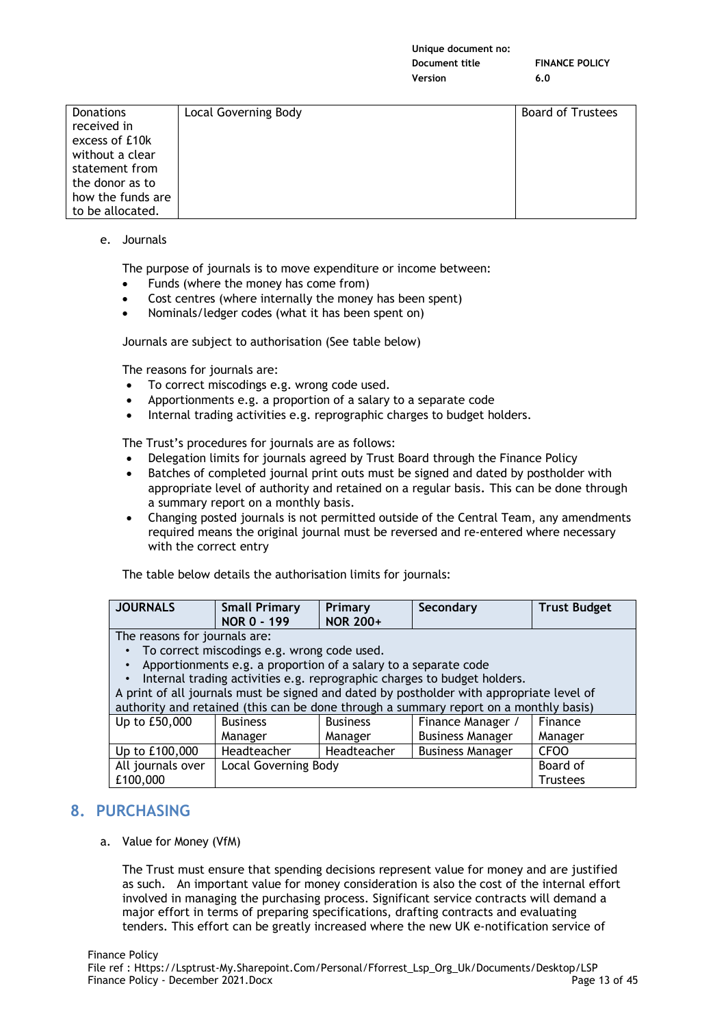| <b>Donations</b>  | Local Governing Body | <b>Board of Trustees</b> |
|-------------------|----------------------|--------------------------|
| received in       |                      |                          |
| excess of £10k    |                      |                          |
| without a clear   |                      |                          |
| statement from    |                      |                          |
| the donor as to   |                      |                          |
| how the funds are |                      |                          |
| to be allocated.  |                      |                          |

e. Journals

The purpose of journals is to move expenditure or income between:

- Funds (where the money has come from)
- Cost centres (where internally the money has been spent)
- Nominals/ledger codes (what it has been spent on)

Journals are subject to authorisation (See table below)

The reasons for journals are:

- To correct miscodings e.g. wrong code used.
- Apportionments e.g. a proportion of a salary to a separate code
- Internal trading activities e.g. reprographic charges to budget holders.

The Trust's procedures for journals are as follows:

- Delegation limits for journals agreed by Trust Board through the Finance Policy
- Batches of completed journal print outs must be signed and dated by postholder with appropriate level of authority and retained on a regular basis. This can be done through a summary report on a monthly basis.
- Changing posted journals is not permitted outside of the Central Team, any amendments required means the original journal must be reversed and re-entered where necessary with the correct entry

The table below details the authorisation limits for journals:

| <b>JOURNALS</b>                 | <b>Small Primary</b><br>NOR 0 - 199 | <b>Primary</b><br><b>NOR 200+</b> | Secondary | <b>Trust Budget</b> |
|---------------------------------|-------------------------------------|-----------------------------------|-----------|---------------------|
| The second fractional contracts |                                     |                                   |           |                     |

The reasons for journals are:

- To correct miscodings e.g. wrong code used.
- Apportionments e.g. a proportion of a salary to a separate code

• Internal trading activities e.g. reprographic charges to budget holders.

A print of all journals must be signed and dated by postholder with appropriate level of

| authority and retained (this can be done through a summary report on a monthly basis) |                                         |                 |                         |                  |
|---------------------------------------------------------------------------------------|-----------------------------------------|-----------------|-------------------------|------------------|
| Up to £50,000                                                                         | <b>Business</b>                         | <b>Business</b> | Finance Manager         | Finance          |
|                                                                                       | Manager                                 | Manager         | <b>Business Manager</b> | Manager          |
| Up to £100,000                                                                        | Headteacher                             | Headteacher     | <b>Business Manager</b> | CF <sub>00</sub> |
| All journals over                                                                     | Board of<br><b>Local Governing Body</b> |                 |                         |                  |
| £100,000                                                                              |                                         |                 |                         | <b>Trustees</b>  |

# **8. PURCHASING**

a. Value for Money (VfM)

The Trust must ensure that spending decisions represent value for money and are justified as such. An important value for money consideration is also the cost of the internal effort involved in managing the purchasing process. Significant service contracts will demand a major effort in terms of preparing specifications, drafting contracts and evaluating tenders. This effort can be greatly increased where the new UK e-notification service of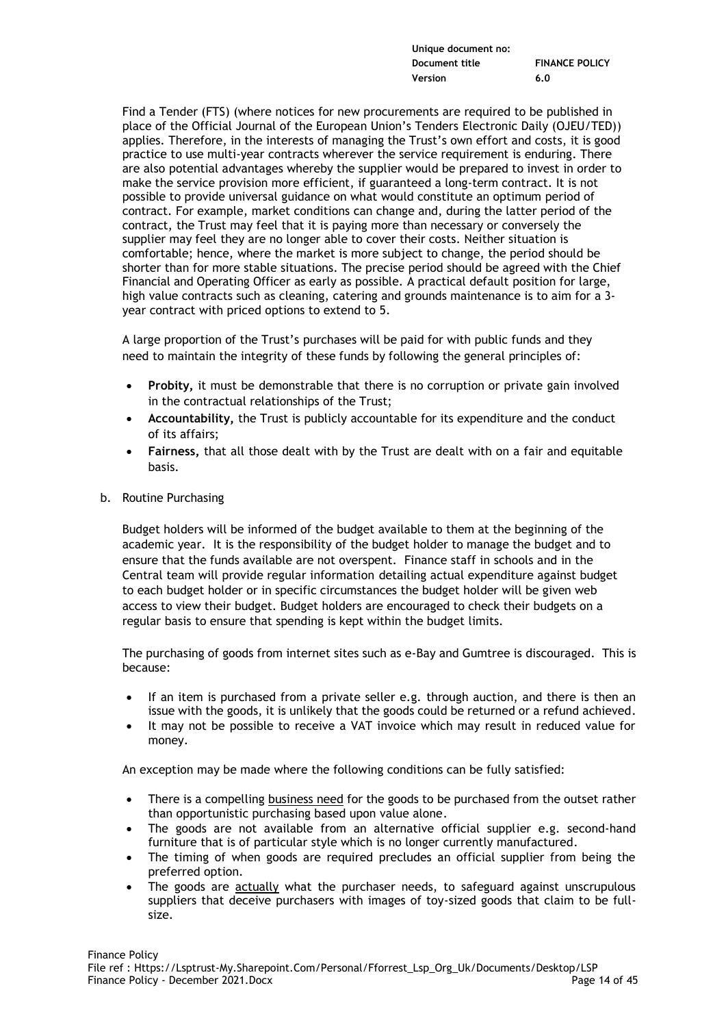| Unique document no: |                       |
|---------------------|-----------------------|
| Document title      | <b>FINANCE POLICY</b> |
| Version             | 6.0                   |

Find a Tender (FTS) (where notices for new procurements are required to be published in place of the Official Journal of the European Union's Tenders Electronic Daily (OJEU/TED)) applies. Therefore, in the interests of managing the Trust's own effort and costs, it is good practice to use multi-year contracts wherever the service requirement is enduring. There are also potential advantages whereby the supplier would be prepared to invest in order to make the service provision more efficient, if guaranteed a long-term contract. It is not possible to provide universal guidance on what would constitute an optimum period of contract. For example, market conditions can change and, during the latter period of the contract, the Trust may feel that it is paying more than necessary or conversely the supplier may feel they are no longer able to cover their costs. Neither situation is comfortable; hence, where the market is more subject to change, the period should be shorter than for more stable situations. The precise period should be agreed with the Chief Financial and Operating Officer as early as possible. A practical default position for large, high value contracts such as cleaning, catering and grounds maintenance is to aim for a 3 year contract with priced options to extend to 5.

A large proportion of the Trust's purchases will be paid for with public funds and they need to maintain the integrity of these funds by following the general principles of:

- **Probity,** it must be demonstrable that there is no corruption or private gain involved in the contractual relationships of the Trust;
- **Accountability,** the Trust is publicly accountable for its expenditure and the conduct of its affairs;
- **Fairness,** that all those dealt with by the Trust are dealt with on a fair and equitable basis.
- b. Routine Purchasing

Budget holders will be informed of the budget available to them at the beginning of the academic year. It is the responsibility of the budget holder to manage the budget and to ensure that the funds available are not overspent. Finance staff in schools and in the Central team will provide regular information detailing actual expenditure against budget to each budget holder or in specific circumstances the budget holder will be given web access to view their budget. Budget holders are encouraged to check their budgets on a regular basis to ensure that spending is kept within the budget limits.

The purchasing of goods from internet sites such as e-Bay and Gumtree is discouraged. This is because:

- If an item is purchased from a private seller e.g. through auction, and there is then an issue with the goods, it is unlikely that the goods could be returned or a refund achieved.
- It may not be possible to receive a VAT invoice which may result in reduced value for money.

An exception may be made where the following conditions can be fully satisfied:

- There is a compelling business need for the goods to be purchased from the outset rather than opportunistic purchasing based upon value alone.
- The goods are not available from an alternative official supplier e.g. second-hand furniture that is of particular style which is no longer currently manufactured.
- The timing of when goods are required precludes an official supplier from being the preferred option.
- The goods are actually what the purchaser needs, to safeguard against unscrupulous suppliers that deceive purchasers with images of toy-sized goods that claim to be fullsize.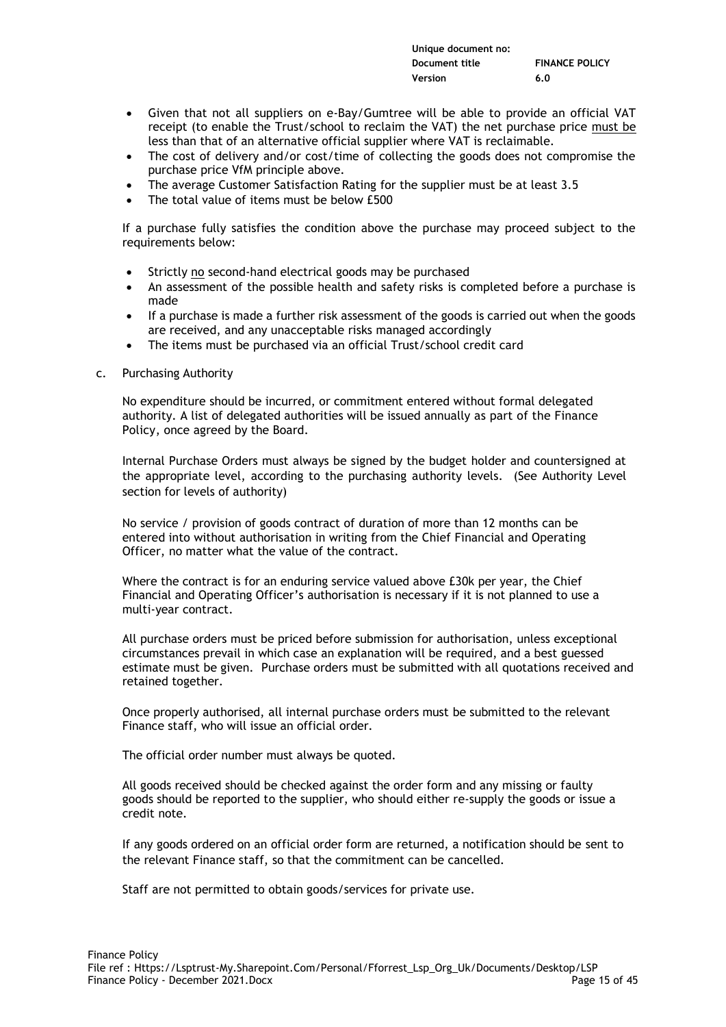| Unique document no: |                       |
|---------------------|-----------------------|
| Document title      | <b>FINANCE POLICY</b> |
| Version             | 6.0                   |

- Given that not all suppliers on e-Bay/Gumtree will be able to provide an official VAT receipt (to enable the Trust/school to reclaim the VAT) the net purchase price must be less than that of an alternative official supplier where VAT is reclaimable.
- The cost of delivery and/or cost/time of collecting the goods does not compromise the purchase price VfM principle above.
- The average Customer Satisfaction Rating for the supplier must be at least 3.5
- The total value of items must be below £500

If a purchase fully satisfies the condition above the purchase may proceed subject to the requirements below:

- Strictly no second-hand electrical goods may be purchased
- An assessment of the possible health and safety risks is completed before a purchase is made
- If a purchase is made a further risk assessment of the goods is carried out when the goods are received, and any unacceptable risks managed accordingly
- The items must be purchased via an official Trust/school credit card

### c. Purchasing Authority

No expenditure should be incurred, or commitment entered without formal delegated authority. A list of delegated authorities will be issued annually as part of the Finance Policy, once agreed by the Board.

Internal Purchase Orders must always be signed by the budget holder and countersigned at the appropriate level, according to the purchasing authority levels. (See Authority Level section for levels of authority)

No service / provision of goods contract of duration of more than 12 months can be entered into without authorisation in writing from the Chief Financial and Operating Officer, no matter what the value of the contract.

Where the contract is for an enduring service valued above £30k per year, the Chief Financial and Operating Officer's authorisation is necessary if it is not planned to use a multi-year contract.

All purchase orders must be priced before submission for authorisation, unless exceptional circumstances prevail in which case an explanation will be required, and a best guessed estimate must be given. Purchase orders must be submitted with all quotations received and retained together.

Once properly authorised, all internal purchase orders must be submitted to the relevant Finance staff, who will issue an official order.

The official order number must always be quoted.

All goods received should be checked against the order form and any missing or faulty goods should be reported to the supplier, who should either re-supply the goods or issue a credit note.

If any goods ordered on an official order form are returned, a notification should be sent to the relevant Finance staff, so that the commitment can be cancelled.

Staff are not permitted to obtain goods/services for private use.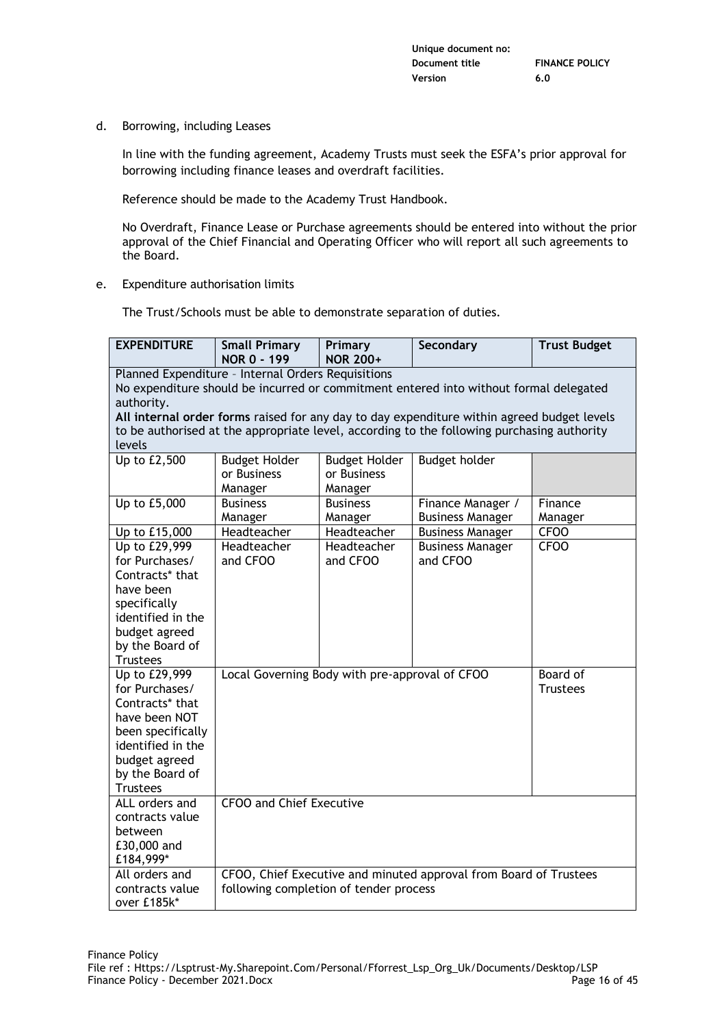d. Borrowing, including Leases

In line with the funding agreement, Academy Trusts must seek the ESFA's prior approval for borrowing including finance leases and overdraft facilities.

Reference should be made to the Academy Trust Handbook.

No Overdraft, Finance Lease or Purchase agreements should be entered into without the prior approval of the Chief Financial and Operating Officer who will report all such agreements to the Board.

e. Expenditure authorisation limits

The Trust/Schools must be able to demonstrate separation of duties.

| <b>EXPENDITURE</b>                                                                                                                          | <b>Small Primary</b><br><b>NOR 0 - 199</b>     | Primary<br><b>NOR 200+</b>          | Secondary                                                                                  | <b>Trust Budget</b> |
|---------------------------------------------------------------------------------------------------------------------------------------------|------------------------------------------------|-------------------------------------|--------------------------------------------------------------------------------------------|---------------------|
| Planned Expenditure - Internal Orders Requisitions<br>No expenditure should be incurred or commitment entered into without formal delegated |                                                |                                     |                                                                                            |                     |
| authority.                                                                                                                                  |                                                |                                     |                                                                                            |                     |
|                                                                                                                                             |                                                |                                     | All internal order forms raised for any day to day expenditure within agreed budget levels |                     |
|                                                                                                                                             |                                                |                                     | to be authorised at the appropriate level, according to the following purchasing authority |                     |
| levels                                                                                                                                      |                                                |                                     |                                                                                            |                     |
| Up to £2,500                                                                                                                                | <b>Budget Holder</b><br>or Business            | <b>Budget Holder</b><br>or Business | Budget holder                                                                              |                     |
|                                                                                                                                             | Manager                                        | Manager                             |                                                                                            |                     |
| Up to £5,000                                                                                                                                | <b>Business</b>                                | <b>Business</b>                     | Finance Manager /                                                                          | Finance             |
|                                                                                                                                             | Manager                                        | Manager                             | <b>Business Manager</b>                                                                    | Manager             |
| Up to £15,000                                                                                                                               | Headteacher                                    | Headteacher                         | <b>Business Manager</b>                                                                    | <b>CFOO</b>         |
| Up to £29,999                                                                                                                               | Headteacher                                    | Headteacher                         | <b>Business Manager</b>                                                                    | CF <sub>00</sub>    |
| for Purchases/                                                                                                                              | and CFOO                                       | and CFOO                            | and CFOO                                                                                   |                     |
| Contracts* that                                                                                                                             |                                                |                                     |                                                                                            |                     |
| have been                                                                                                                                   |                                                |                                     |                                                                                            |                     |
| specifically                                                                                                                                |                                                |                                     |                                                                                            |                     |
| identified in the                                                                                                                           |                                                |                                     |                                                                                            |                     |
| budget agreed                                                                                                                               |                                                |                                     |                                                                                            |                     |
| by the Board of                                                                                                                             |                                                |                                     |                                                                                            |                     |
| <b>Trustees</b><br>Up to £29,999                                                                                                            | Local Governing Body with pre-approval of CFOO |                                     |                                                                                            | Board of            |
| for Purchases/                                                                                                                              |                                                |                                     |                                                                                            | <b>Trustees</b>     |
| Contracts* that                                                                                                                             |                                                |                                     |                                                                                            |                     |
| have been NOT                                                                                                                               |                                                |                                     |                                                                                            |                     |
| been specifically                                                                                                                           |                                                |                                     |                                                                                            |                     |
| identified in the                                                                                                                           |                                                |                                     |                                                                                            |                     |
| budget agreed                                                                                                                               |                                                |                                     |                                                                                            |                     |
| by the Board of                                                                                                                             |                                                |                                     |                                                                                            |                     |
| <b>Trustees</b>                                                                                                                             |                                                |                                     |                                                                                            |                     |
| ALL orders and                                                                                                                              | <b>CFOO and Chief Executive</b>                |                                     |                                                                                            |                     |
| contracts value                                                                                                                             |                                                |                                     |                                                                                            |                     |
| between                                                                                                                                     |                                                |                                     |                                                                                            |                     |
| £30,000 and<br>£184,999*                                                                                                                    |                                                |                                     |                                                                                            |                     |
| All orders and                                                                                                                              |                                                |                                     | CFOO, Chief Executive and minuted approval from Board of Trustees                          |                     |
| contracts value                                                                                                                             | following completion of tender process         |                                     |                                                                                            |                     |
| over £185k*                                                                                                                                 |                                                |                                     |                                                                                            |                     |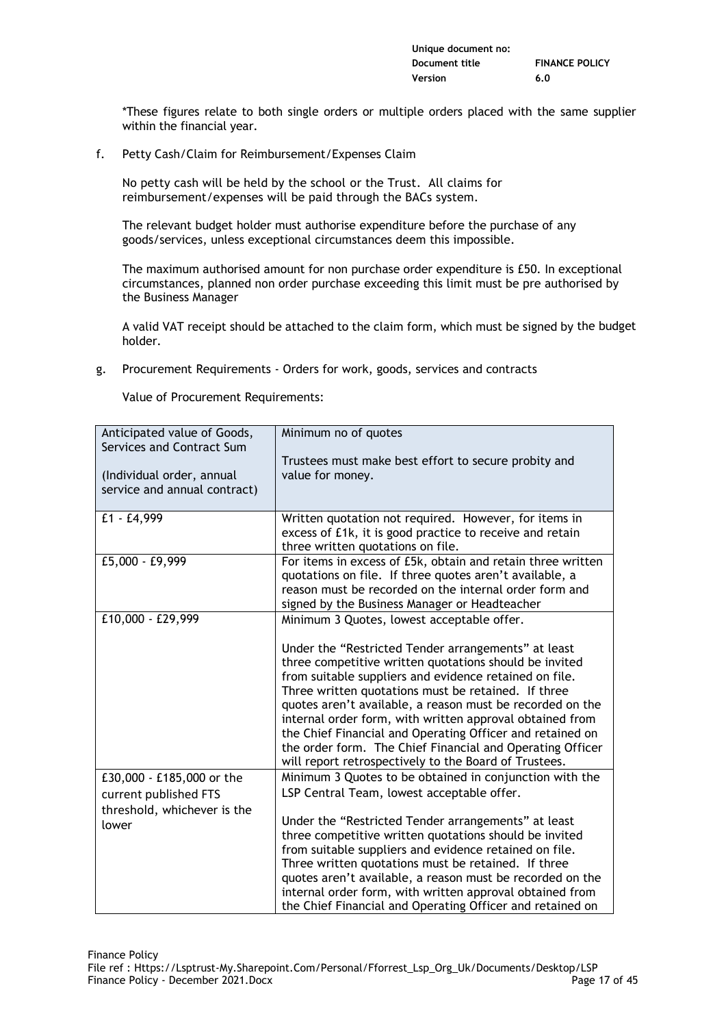| Unique document no: |                       |
|---------------------|-----------------------|
| Document title      | <b>FINANCE POLICY</b> |
| Version             | 6.0                   |

\*These figures relate to both single orders or multiple orders placed with the same supplier within the financial year.

f. Petty Cash/Claim for Reimbursement/Expenses Claim

No petty cash will be held by the school or the Trust. All claims for reimbursement/expenses will be paid through the BACs system.

The relevant budget holder must authorise expenditure before the purchase of any goods/services, unless exceptional circumstances deem this impossible.

The maximum authorised amount for non purchase order expenditure is £50. In exceptional circumstances, planned non order purchase exceeding this limit must be pre authorised by the Business Manager

A valid VAT receipt should be attached to the claim form, which must be signed by the budget holder.

g. Procurement Requirements - Orders for work, goods, services and contracts

Value of Procurement Requirements:

| Anticipated value of Goods,  | Minimum no of quotes                                                                                                  |
|------------------------------|-----------------------------------------------------------------------------------------------------------------------|
| Services and Contract Sum    | Trustees must make best effort to secure probity and                                                                  |
| (Individual order, annual    | value for money.                                                                                                      |
| service and annual contract) |                                                                                                                       |
| £1 - £4,999                  | Written quotation not required. However, for items in                                                                 |
|                              | excess of £1k, it is good practice to receive and retain<br>three written quotations on file.                         |
| £5,000 - £9,999              | For items in excess of £5k, obtain and retain three written                                                           |
|                              | quotations on file. If three quotes aren't available, a                                                               |
|                              | reason must be recorded on the internal order form and                                                                |
| £10,000 - £29,999            | signed by the Business Manager or Headteacher                                                                         |
|                              | Minimum 3 Quotes, lowest acceptable offer.                                                                            |
|                              | Under the "Restricted Tender arrangements" at least                                                                   |
|                              | three competitive written quotations should be invited                                                                |
|                              | from suitable suppliers and evidence retained on file.                                                                |
|                              | Three written quotations must be retained. If three                                                                   |
|                              | quotes aren't available, a reason must be recorded on the<br>internal order form, with written approval obtained from |
|                              | the Chief Financial and Operating Officer and retained on                                                             |
|                              | the order form. The Chief Financial and Operating Officer                                                             |
|                              | will report retrospectively to the Board of Trustees.                                                                 |
| £30,000 - £185,000 or the    | Minimum 3 Quotes to be obtained in conjunction with the                                                               |
| current published FTS        | LSP Central Team, lowest acceptable offer.                                                                            |
| threshold, whichever is the  |                                                                                                                       |
| lower                        | Under the "Restricted Tender arrangements" at least                                                                   |
|                              | three competitive written quotations should be invited<br>from suitable suppliers and evidence retained on file.      |
|                              | Three written quotations must be retained. If three                                                                   |
|                              | quotes aren't available, a reason must be recorded on the                                                             |
|                              | internal order form, with written approval obtained from                                                              |
|                              | the Chief Financial and Operating Officer and retained on                                                             |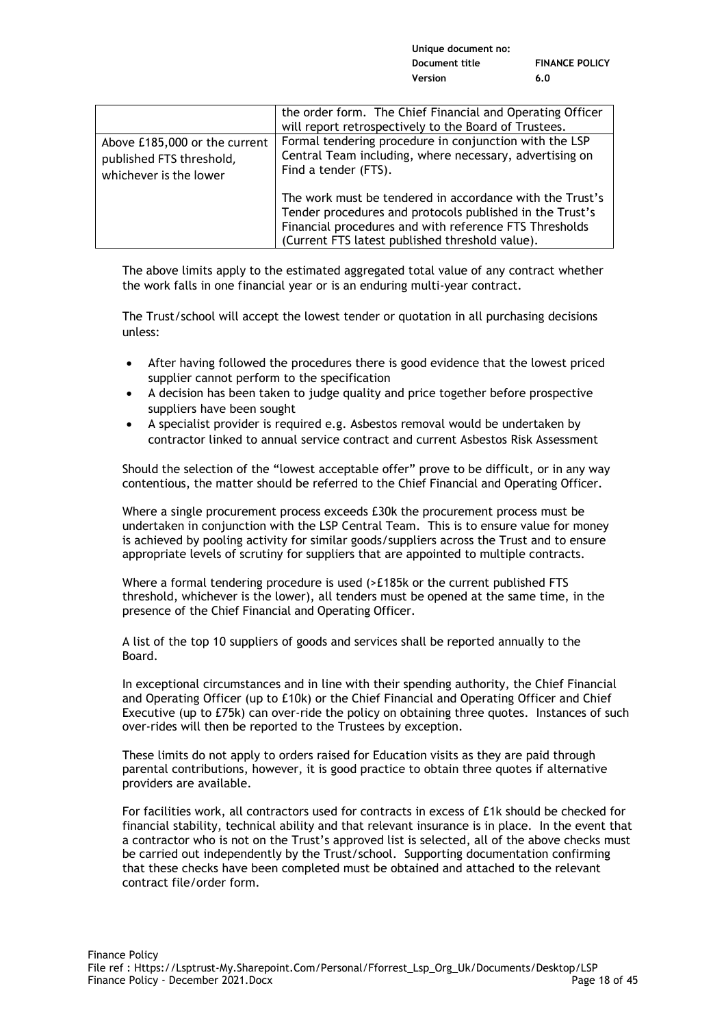|                                                                                     | the order form. The Chief Financial and Operating Officer<br>will report retrospectively to the Board of Trustees.                                                                                                                |
|-------------------------------------------------------------------------------------|-----------------------------------------------------------------------------------------------------------------------------------------------------------------------------------------------------------------------------------|
| Above £185,000 or the current<br>published FTS threshold,<br>whichever is the lower | Formal tendering procedure in conjunction with the LSP<br>Central Team including, where necessary, advertising on<br>Find a tender (FTS).                                                                                         |
|                                                                                     | The work must be tendered in accordance with the Trust's<br>Tender procedures and protocols published in the Trust's<br>Financial procedures and with reference FTS Thresholds<br>(Current FTS latest published threshold value). |

The above limits apply to the estimated aggregated total value of any contract whether the work falls in one financial year or is an enduring multi-year contract.

The Trust/school will accept the lowest tender or quotation in all purchasing decisions unless:

- After having followed the procedures there is good evidence that the lowest priced supplier cannot perform to the specification
- A decision has been taken to judge quality and price together before prospective suppliers have been sought
- A specialist provider is required e.g. Asbestos removal would be undertaken by contractor linked to annual service contract and current Asbestos Risk Assessment

Should the selection of the "lowest acceptable offer" prove to be difficult, or in any way contentious, the matter should be referred to the Chief Financial and Operating Officer.

Where a single procurement process exceeds £30k the procurement process must be undertaken in conjunction with the LSP Central Team. This is to ensure value for money is achieved by pooling activity for similar goods/suppliers across the Trust and to ensure appropriate levels of scrutiny for suppliers that are appointed to multiple contracts.

Where a formal tendering procedure is used (>£185k or the current published FTS) threshold, whichever is the lower), all tenders must be opened at the same time, in the presence of the Chief Financial and Operating Officer.

A list of the top 10 suppliers of goods and services shall be reported annually to the Board.

In exceptional circumstances and in line with their spending authority, the Chief Financial and Operating Officer (up to £10k) or the Chief Financial and Operating Officer and Chief Executive (up to £75k) can over-ride the policy on obtaining three quotes. Instances of such over-rides will then be reported to the Trustees by exception.

These limits do not apply to orders raised for Education visits as they are paid through parental contributions, however, it is good practice to obtain three quotes if alternative providers are available.

For facilities work, all contractors used for contracts in excess of £1k should be checked for financial stability, technical ability and that relevant insurance is in place. In the event that a contractor who is not on the Trust's approved list is selected, all of the above checks must be carried out independently by the Trust/school. Supporting documentation confirming that these checks have been completed must be obtained and attached to the relevant contract file/order form.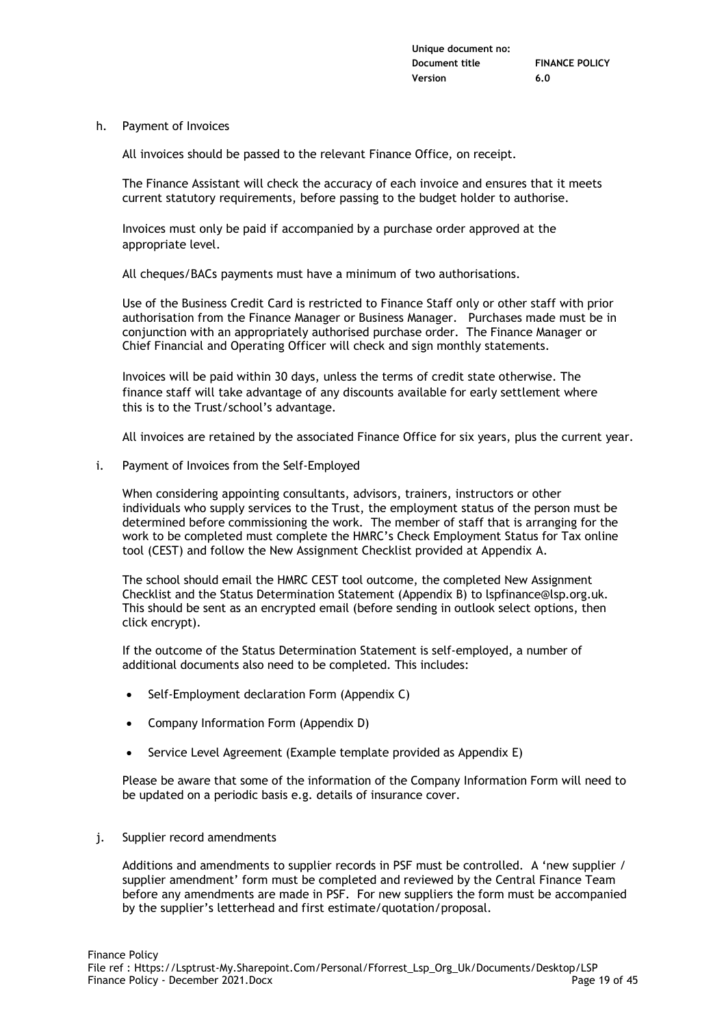h. Payment of Invoices

All invoices should be passed to the relevant Finance Office, on receipt.

The Finance Assistant will check the accuracy of each invoice and ensures that it meets current statutory requirements, before passing to the budget holder to authorise.

Invoices must only be paid if accompanied by a purchase order approved at the appropriate level.

All cheques/BACs payments must have a minimum of two authorisations.

Use of the Business Credit Card is restricted to Finance Staff only or other staff with prior authorisation from the Finance Manager or Business Manager. Purchases made must be in conjunction with an appropriately authorised purchase order. The Finance Manager or Chief Financial and Operating Officer will check and sign monthly statements.

Invoices will be paid within 30 days, unless the terms of credit state otherwise. The finance staff will take advantage of any discounts available for early settlement where this is to the Trust/school's advantage.

All invoices are retained by the associated Finance Office for six years, plus the current year.

i. Payment of Invoices from the Self-Employed

When considering appointing consultants, advisors, trainers, instructors or other individuals who supply services to the Trust, the employment status of the person must be determined before commissioning the work. The member of staff that is arranging for the work to be completed must complete the HMRC's Check Employment Status for Tax online tool (CEST) and follow the New Assignment Checklist provided at Appendix A.

The school should email the HMRC CEST tool outcome, the completed New Assignment Checklist and the Status Determination Statement (Appendix B) to lspfinance@lsp.org.uk. This should be sent as an encrypted email (before sending in outlook select options, then click encrypt).

If the outcome of the Status Determination Statement is self-employed, a number of additional documents also need to be completed. This includes:

- Self-Employment declaration Form (Appendix C)
- Company Information Form (Appendix D)
- Service Level Agreement (Example template provided as Appendix E)

Please be aware that some of the information of the Company Information Form will need to be updated on a periodic basis e.g. details of insurance cover.

j. Supplier record amendments

Additions and amendments to supplier records in PSF must be controlled. A 'new supplier / supplier amendment' form must be completed and reviewed by the Central Finance Team before any amendments are made in PSF. For new suppliers the form must be accompanied by the supplier's letterhead and first estimate/quotation/proposal.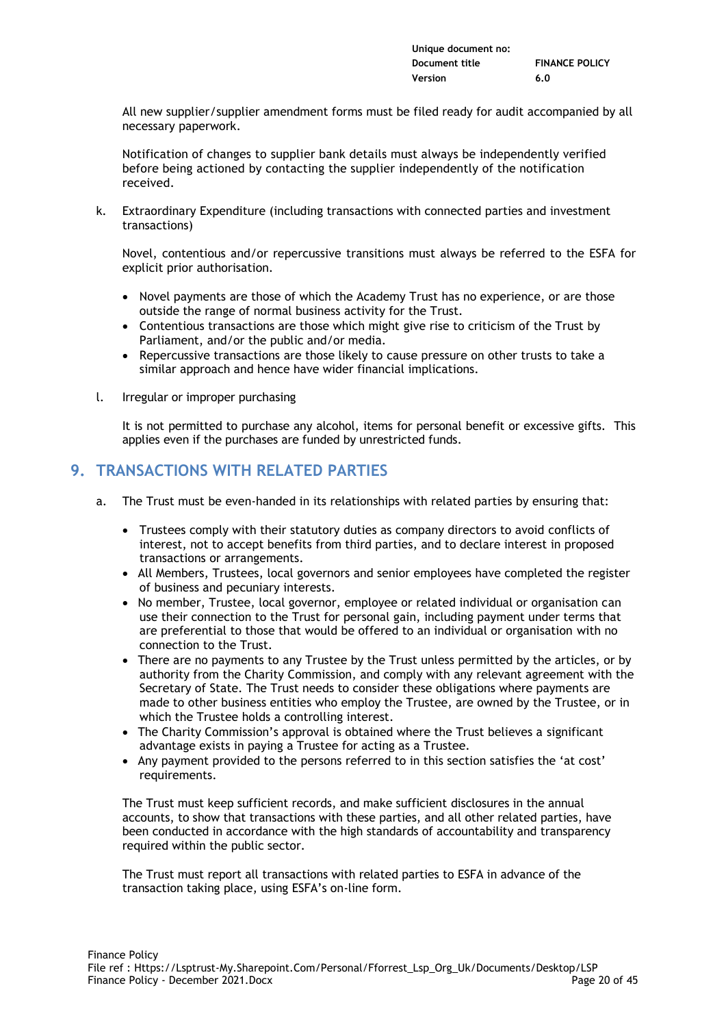| Unique document no: |                       |
|---------------------|-----------------------|
| Document title      | <b>FINANCE POLICY</b> |
| Version             | 6.0                   |

All new supplier/supplier amendment forms must be filed ready for audit accompanied by all necessary paperwork.

Notification of changes to supplier bank details must always be independently verified before being actioned by contacting the supplier independently of the notification received.

k. Extraordinary Expenditure (including transactions with connected parties and investment transactions)

Novel, contentious and/or repercussive transitions must always be referred to the ESFA for explicit prior authorisation.

- Novel payments are those of which the Academy Trust has no experience, or are those outside the range of normal business activity for the Trust.
- Contentious transactions are those which might give rise to criticism of the Trust by Parliament, and/or the public and/or media.
- Repercussive transactions are those likely to cause pressure on other trusts to take a similar approach and hence have wider financial implications.
- l. Irregular or improper purchasing

It is not permitted to purchase any alcohol, items for personal benefit or excessive gifts. This applies even if the purchases are funded by unrestricted funds.

# **9. TRANSACTIONS WITH RELATED PARTIES**

- a. The Trust must be even-handed in its relationships with related parties by ensuring that:
	- Trustees comply with their statutory duties as company directors to avoid conflicts of interest, not to accept benefits from third parties, and to declare interest in proposed transactions or arrangements.
	- All Members, Trustees, local governors and senior employees have completed the register of business and pecuniary interests.
	- No member, Trustee, local governor, employee or related individual or organisation can use their connection to the Trust for personal gain, including payment under terms that are preferential to those that would be offered to an individual or organisation with no connection to the Trust.
	- There are no payments to any Trustee by the Trust unless permitted by the articles, or by authority from the Charity Commission, and comply with any relevant agreement with the Secretary of State. The Trust needs to consider these obligations where payments are made to other business entities who employ the Trustee, are owned by the Trustee, or in which the Trustee holds a controlling interest.
	- The Charity Commission's approval is obtained where the Trust believes a significant advantage exists in paying a Trustee for acting as a Trustee.
	- Any payment provided to the persons referred to in this section satisfies the 'at cost' requirements.

The Trust must keep sufficient records, and make sufficient disclosures in the annual accounts, to show that transactions with these parties, and all other related parties, have been conducted in accordance with the high standards of accountability and transparency required within the public sector.

The Trust must report all transactions with related parties to ESFA in advance of the transaction taking place, using ESFA's on-line form.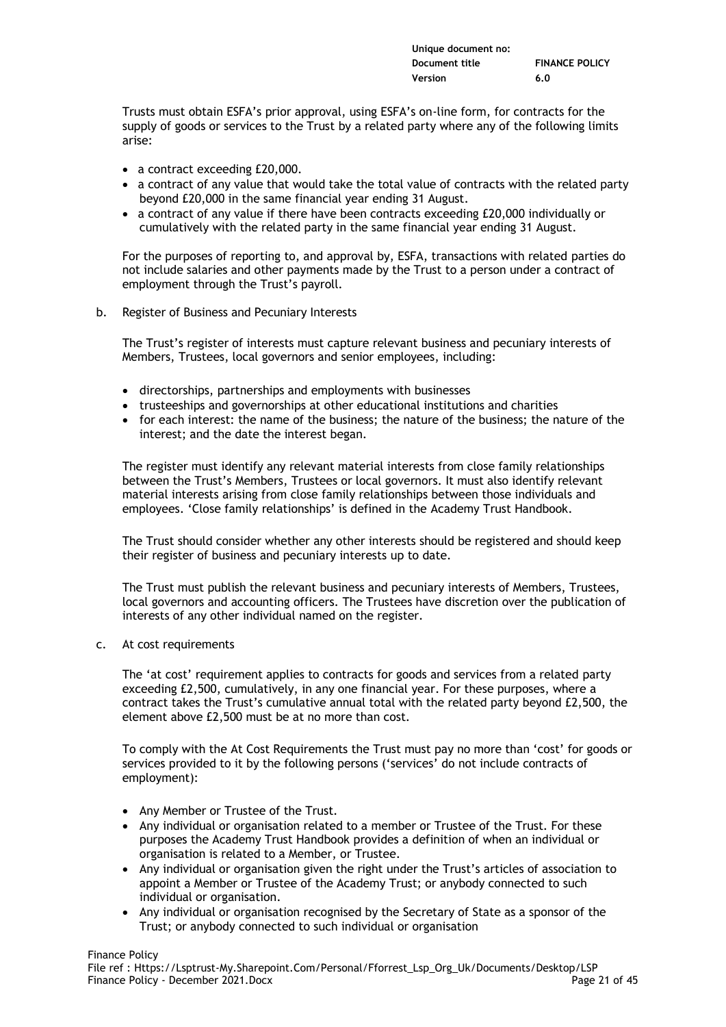| Unique document no: |                       |
|---------------------|-----------------------|
| Document title      | <b>FINANCE POLICY</b> |
| Version             | 6.0                   |

Trusts must obtain ESFA's prior approval, using ESFA's on-line form, for contracts for the supply of goods or services to the Trust by a related party where any of the following limits arise:

- a contract exceeding £20,000.
- a contract of any value that would take the total value of contracts with the related party beyond £20,000 in the same financial year ending 31 August.
- a contract of any value if there have been contracts exceeding £20,000 individually or cumulatively with the related party in the same financial year ending 31 August.

For the purposes of reporting to, and approval by, ESFA, transactions with related parties do not include salaries and other payments made by the Trust to a person under a contract of employment through the Trust's payroll.

b. Register of Business and Pecuniary Interests

The Trust's register of interests must capture relevant business and pecuniary interests of Members, Trustees, local governors and senior employees, including:

- directorships, partnerships and employments with businesses
- trusteeships and governorships at other educational institutions and charities
- for each interest: the name of the business; the nature of the business; the nature of the interest; and the date the interest began.

The register must identify any relevant material interests from close family relationships between the Trust's Members, Trustees or local governors. It must also identify relevant material interests arising from close family relationships between those individuals and employees. 'Close family relationships' is defined in the Academy Trust Handbook.

The Trust should consider whether any other interests should be registered and should keep their register of business and pecuniary interests up to date.

The Trust must publish the relevant business and pecuniary interests of Members, Trustees, local governors and accounting officers. The Trustees have discretion over the publication of interests of any other individual named on the register.

c. At cost requirements

The 'at cost' requirement applies to contracts for goods and services from a related party exceeding £2,500, cumulatively, in any one financial year. For these purposes, where a contract takes the Trust's cumulative annual total with the related party beyond £2,500, the element above £2,500 must be at no more than cost.

To comply with the At Cost Requirements the Trust must pay no more than 'cost' for goods or services provided to it by the following persons ('services' do not include contracts of employment):

- Any Member or Trustee of the Trust.
- Any individual or organisation related to a member or Trustee of the Trust. For these purposes the Academy Trust Handbook provides a definition of when an individual or organisation is related to a Member, or Trustee.
- Any individual or organisation given the right under the Trust's articles of association to appoint a Member or Trustee of the Academy Trust; or anybody connected to such individual or organisation.
- Any individual or organisation recognised by the Secretary of State as a sponsor of the Trust; or anybody connected to such individual or organisation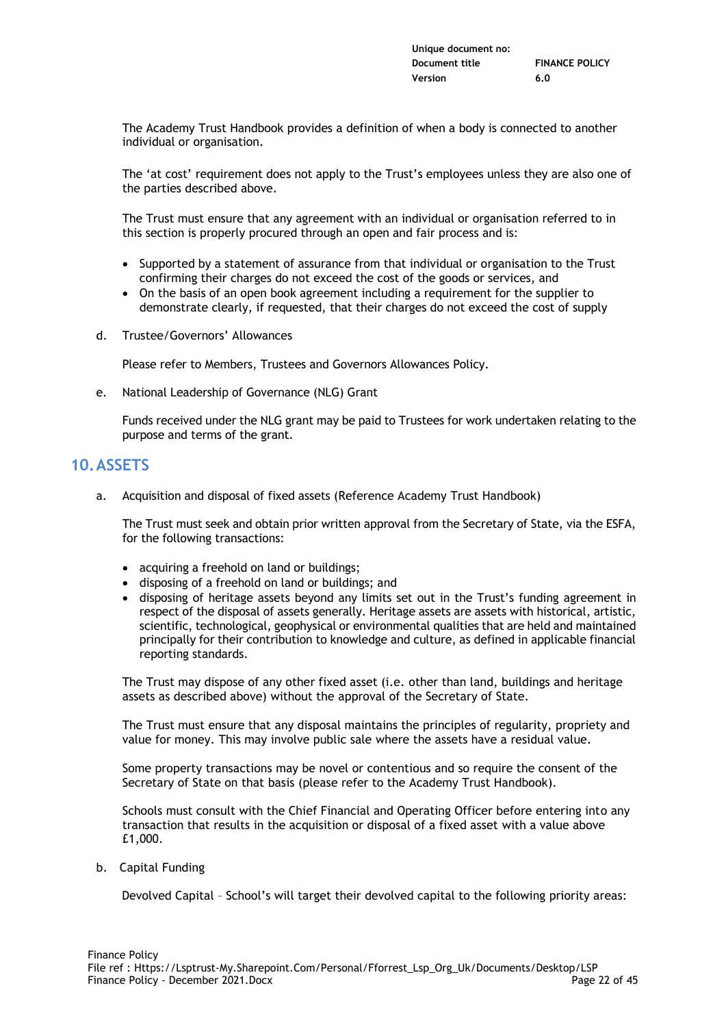| Unique document no: |                       |
|---------------------|-----------------------|
| Document title      | <b>FINANCE POLICY</b> |
| Version             | 6.0                   |

The Academy Trust Handbook provides a definition of when a body is connected to another individual or organisation.

The 'at cost' requirement does not apply to the Trust's employees unless they are also one of the parties described above.

The Trust must ensure that any agreement with an individual or organisation referred to in this section is properly procured through an open and fair process and is:

- Supported by a statement of assurance from that individual or organisation to the Trust confirming their charges do not exceed the cost of the goods or services, and
- On the basis of an open book agreement including a requirement for the supplier to demonstrate clearly, if requested, that their charges do not exceed the cost of supply
- d. Trustee/Governors' Allowances

Please refer to Members, Trustees and Governors Allowances Policy.

e. National Leadership of Governance (NLG) Grant

Funds received under the NLG grant may be paid to Trustees for work undertaken relating to the purpose and terms of the grant.

# **10.ASSETS**

a. Acquisition and disposal of fixed assets (Reference Academy Trust Handbook)

The Trust must seek and obtain prior written approval from the Secretary of State, via the ESFA, for the following transactions:

- acquiring a freehold on land or buildings;
- disposing of a freehold on land or buildings; and
- disposing of heritage assets beyond any limits set out in the Trust's funding agreement in respect of the disposal of assets generally. Heritage assets are assets with historical, artistic, scientific, technological, geophysical or environmental qualities that are held and maintained principally for their contribution to knowledge and culture, as defined in applicable financial reporting standards.

The Trust may dispose of any other fixed asset (i.e. other than land, buildings and heritage assets as described above) without the approval of the Secretary of State.

The Trust must ensure that any disposal maintains the principles of regularity, propriety and value for money. This may involve public sale where the assets have a residual value.

Some property transactions may be novel or contentious and so require the consent of the Secretary of State on that basis (please refer to the Academy Trust Handbook).

Schools must consult with the Chief Financial and Operating Officer before entering into any transaction that results in the acquisition or disposal of a fixed asset with a value above £1,000.

b. Capital Funding

Devolved Capital – School's will target their devolved capital to the following priority areas: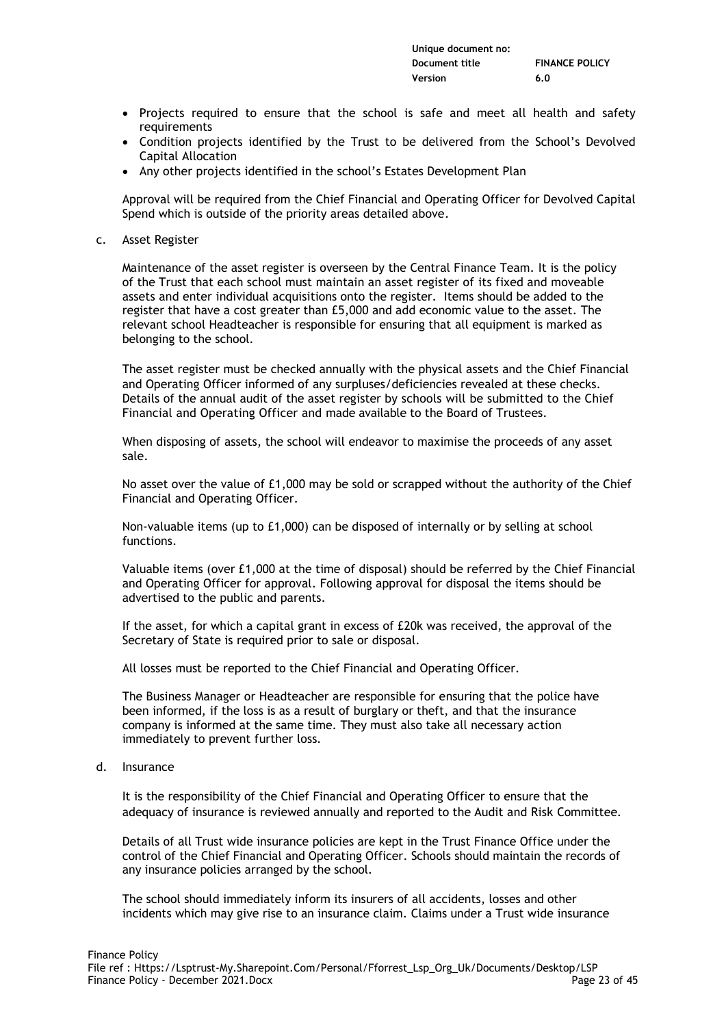| Unique document no: |                       |
|---------------------|-----------------------|
| Document title      | <b>FINANCE POLICY</b> |
| Version             | 6.0                   |

- Projects required to ensure that the school is safe and meet all health and safety requirements
- Condition projects identified by the Trust to be delivered from the School's Devolved Capital Allocation
- Any other projects identified in the school's Estates Development Plan

Approval will be required from the Chief Financial and Operating Officer for Devolved Capital Spend which is outside of the priority areas detailed above.

c. Asset Register

Maintenance of the asset register is overseen by the Central Finance Team. It is the policy of the Trust that each school must maintain an asset register of its fixed and moveable assets and enter individual acquisitions onto the register. Items should be added to the register that have a cost greater than £5,000 and add economic value to the asset. The relevant school Headteacher is responsible for ensuring that all equipment is marked as belonging to the school.

The asset register must be checked annually with the physical assets and the Chief Financial and Operating Officer informed of any surpluses/deficiencies revealed at these checks. Details of the annual audit of the asset register by schools will be submitted to the Chief Financial and Operating Officer and made available to the Board of Trustees.

When disposing of assets, the school will endeavor to maximise the proceeds of any asset sale.

No asset over the value of £1,000 may be sold or scrapped without the authority of the Chief Financial and Operating Officer.

Non-valuable items (up to £1,000) can be disposed of internally or by selling at school functions.

Valuable items (over £1,000 at the time of disposal) should be referred by the Chief Financial and Operating Officer for approval. Following approval for disposal the items should be advertised to the public and parents.

If the asset, for which a capital grant in excess of £20k was received, the approval of the Secretary of State is required prior to sale or disposal.

All losses must be reported to the Chief Financial and Operating Officer.

The Business Manager or Headteacher are responsible for ensuring that the police have been informed, if the loss is as a result of burglary or theft, and that the insurance company is informed at the same time. They must also take all necessary action immediately to prevent further loss.

d. Insurance

It is the responsibility of the Chief Financial and Operating Officer to ensure that the adequacy of insurance is reviewed annually and reported to the Audit and Risk Committee.

Details of all Trust wide insurance policies are kept in the Trust Finance Office under the control of the Chief Financial and Operating Officer. Schools should maintain the records of any insurance policies arranged by the school.

The school should immediately inform its insurers of all accidents, losses and other incidents which may give rise to an insurance claim. Claims under a Trust wide insurance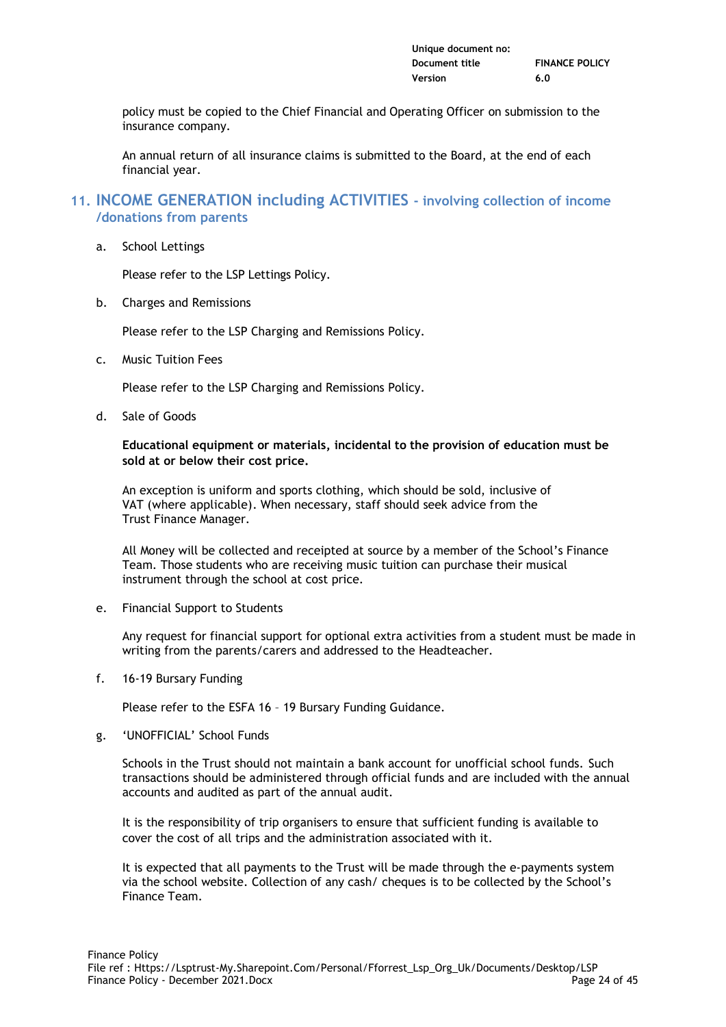| Unique document no: |                       |
|---------------------|-----------------------|
| Document title      | <b>FINANCE POLICY</b> |
| Version             | 6.0                   |

policy must be copied to the Chief Financial and Operating Officer on submission to the insurance company.

An annual return of all insurance claims is submitted to the Board, at the end of each financial year.

# **11. INCOME GENERATION including ACTIVITIES - involving collection of income /donations from parents**

a. School Lettings

Please refer to the LSP Lettings Policy.

b. Charges and Remissions

Please refer to the LSP Charging and Remissions Policy.

c. Music Tuition Fees

Please refer to the LSP Charging and Remissions Policy.

d. Sale of Goods

**Educational equipment or materials, incidental to the provision of education must be sold at or below their cost price.**

An exception is uniform and sports clothing, which should be sold, inclusive of VAT (where applicable). When necessary, staff should seek advice from the Trust Finance Manager.

All Money will be collected and receipted at source by a member of the School's Finance Team. Those students who are receiving music tuition can purchase their musical instrument through the school at cost price.

e. Financial Support to Students

Any request for financial support for optional extra activities from a student must be made in writing from the parents/carers and addressed to the Headteacher.

f. 16-19 Bursary Funding

Please refer to the ESFA 16 – 19 Bursary Funding Guidance.

g. 'UNOFFICIAL' School Funds

Schools in the Trust should not maintain a bank account for unofficial school funds. Such transactions should be administered through official funds and are included with the annual accounts and audited as part of the annual audit.

It is the responsibility of trip organisers to ensure that sufficient funding is available to cover the cost of all trips and the administration associated with it.

It is expected that all payments to the Trust will be made through the e-payments system via the school website. Collection of any cash/ cheques is to be collected by the School's Finance Team.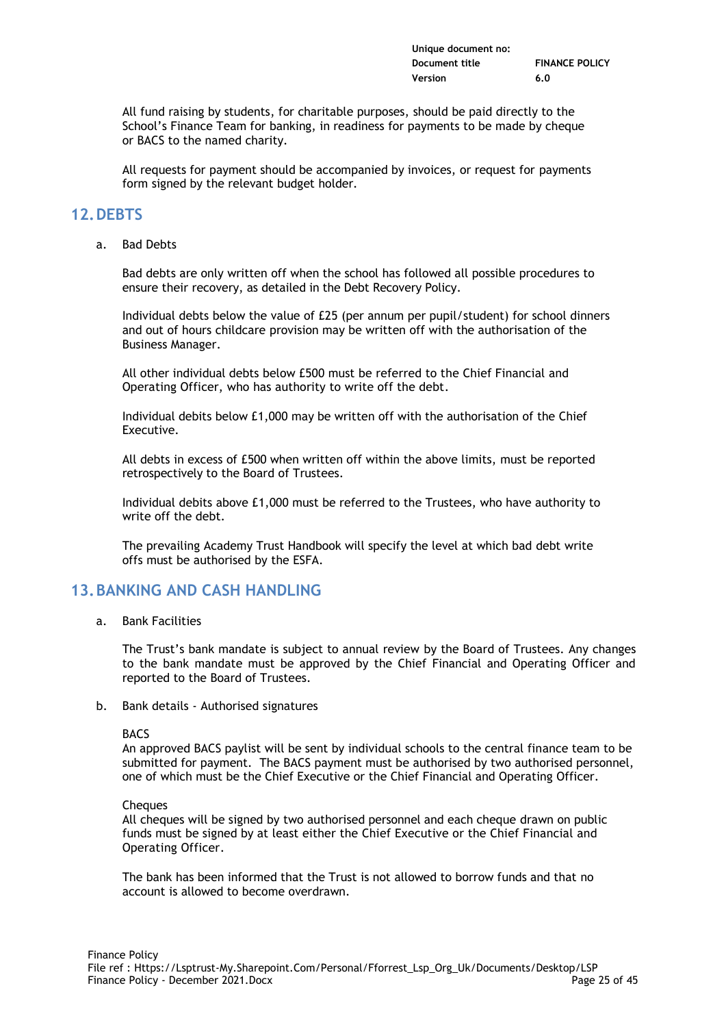| Unique document no: |                       |
|---------------------|-----------------------|
| Document title      | <b>FINANCE POLICY</b> |
| Version             | 6.0                   |

All fund raising by students, for charitable purposes, should be paid directly to the School's Finance Team for banking, in readiness for payments to be made by cheque or BACS to the named charity.

All requests for payment should be accompanied by invoices, or request for payments form signed by the relevant budget holder.

# **12.DEBTS**

a. Bad Debts

Bad debts are only written off when the school has followed all possible procedures to ensure their recovery, as detailed in the Debt Recovery Policy.

Individual debts below the value of £25 (per annum per pupil/student) for school dinners and out of hours childcare provision may be written off with the authorisation of the Business Manager.

All other individual debts below £500 must be referred to the Chief Financial and Operating Officer, who has authority to write off the debt.

Individual debits below £1,000 may be written off with the authorisation of the Chief Executive.

All debts in excess of £500 when written off within the above limits, must be reported retrospectively to the Board of Trustees.

Individual debits above £1,000 must be referred to the Trustees, who have authority to write off the debt.

The prevailing Academy Trust Handbook will specify the level at which bad debt write offs must be authorised by the ESFA.

# **13.BANKING AND CASH HANDLING**

a. Bank Facilities

The Trust's bank mandate is subject to annual review by the Board of Trustees. Any changes to the bank mandate must be approved by the Chief Financial and Operating Officer and reported to the Board of Trustees.

b. Bank details - Authorised signatures

BACS

An approved BACS paylist will be sent by individual schools to the central finance team to be submitted for payment. The BACS payment must be authorised by two authorised personnel, one of which must be the Chief Executive or the Chief Financial and Operating Officer.

**Cheques** 

All cheques will be signed by two authorised personnel and each cheque drawn on public funds must be signed by at least either the Chief Executive or the Chief Financial and Operating Officer.

The bank has been informed that the Trust is not allowed to borrow funds and that no account is allowed to become overdrawn.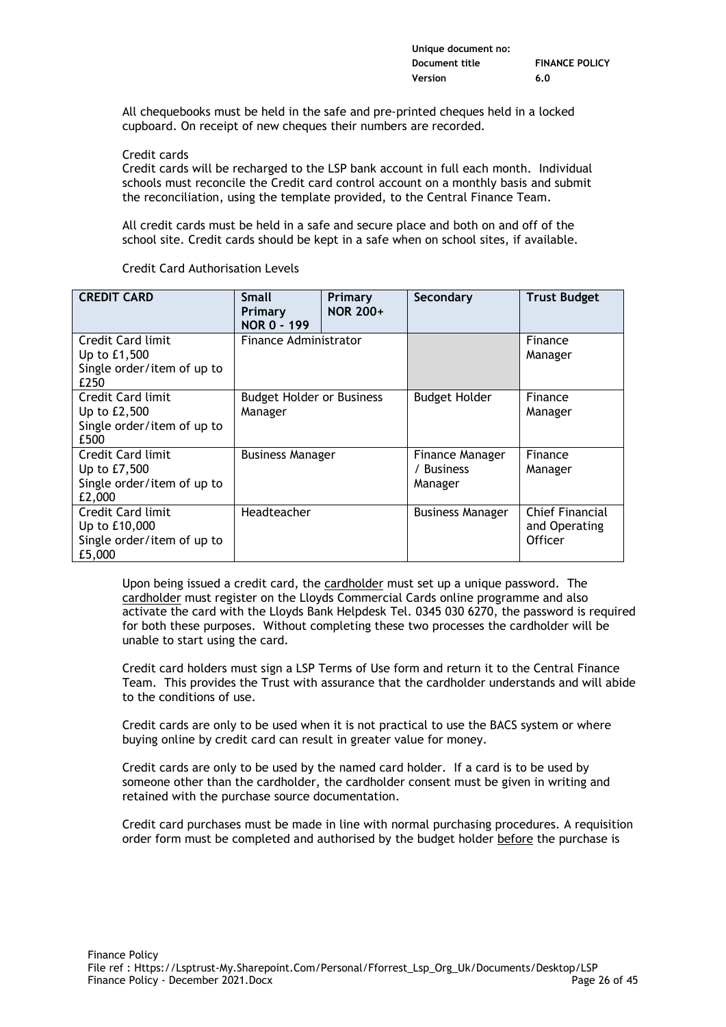| Unique document no: |                       |
|---------------------|-----------------------|
| Document title      | <b>FINANCE POLICY</b> |
| Version             | 6.0                   |

All chequebooks must be held in the safe and pre-printed cheques held in a locked cupboard. On receipt of new cheques their numbers are recorded.

Credit cards

Credit cards will be recharged to the LSP bank account in full each month. Individual schools must reconcile the Credit card control account on a monthly basis and submit the reconciliation, using the template provided, to the Central Finance Team.

All credit cards must be held in a safe and secure place and both on and off of the school site. Credit cards should be kept in a safe when on school sites, if available.

| <b>CREDIT CARD</b>                                                         | <b>Small</b><br>Primary<br>NOR 0 - 199      | Primary<br><b>NOR 200+</b> | Secondary                                | <b>Trust Budget</b>                         |
|----------------------------------------------------------------------------|---------------------------------------------|----------------------------|------------------------------------------|---------------------------------------------|
| Credit Card limit<br>Up to £1,500<br>Single order/item of up to<br>£250    | Finance Administrator                       |                            |                                          | Finance<br>Manager                          |
| Credit Card limit<br>Up to £2,500<br>Single order/item of up to<br>£500    | <b>Budget Holder or Business</b><br>Manager |                            | <b>Budget Holder</b>                     | Finance<br>Manager                          |
| Credit Card limit<br>Up to £7,500<br>Single order/item of up to<br>£2,000  | <b>Business Manager</b>                     |                            | Finance Manager<br>/ Business<br>Manager | Finance<br>Manager                          |
| Credit Card limit<br>Up to £10,000<br>Single order/item of up to<br>£5,000 | Headteacher                                 |                            | <b>Business Manager</b>                  | Chief Financial<br>and Operating<br>Officer |

Credit Card Authorisation Levels

Upon being issued a credit card, the cardholder must set up a unique password. The cardholder must register on the Lloyds Commercial Cards online programme and also activate the card with the Lloyds Bank Helpdesk Tel. 0345 030 6270, the password is required for both these purposes. Without completing these two processes the cardholder will be unable to start using the card.

Credit card holders must sign a LSP Terms of Use form and return it to the Central Finance Team. This provides the Trust with assurance that the cardholder understands and will abide to the conditions of use.

Credit cards are only to be used when it is not practical to use the BACS system or where buying online by credit card can result in greater value for money.

Credit cards are only to be used by the named card holder. If a card is to be used by someone other than the cardholder, the cardholder consent must be given in writing and retained with the purchase source documentation.

Credit card purchases must be made in line with normal purchasing procedures. A requisition order form must be completed and authorised by the budget holder before the purchase is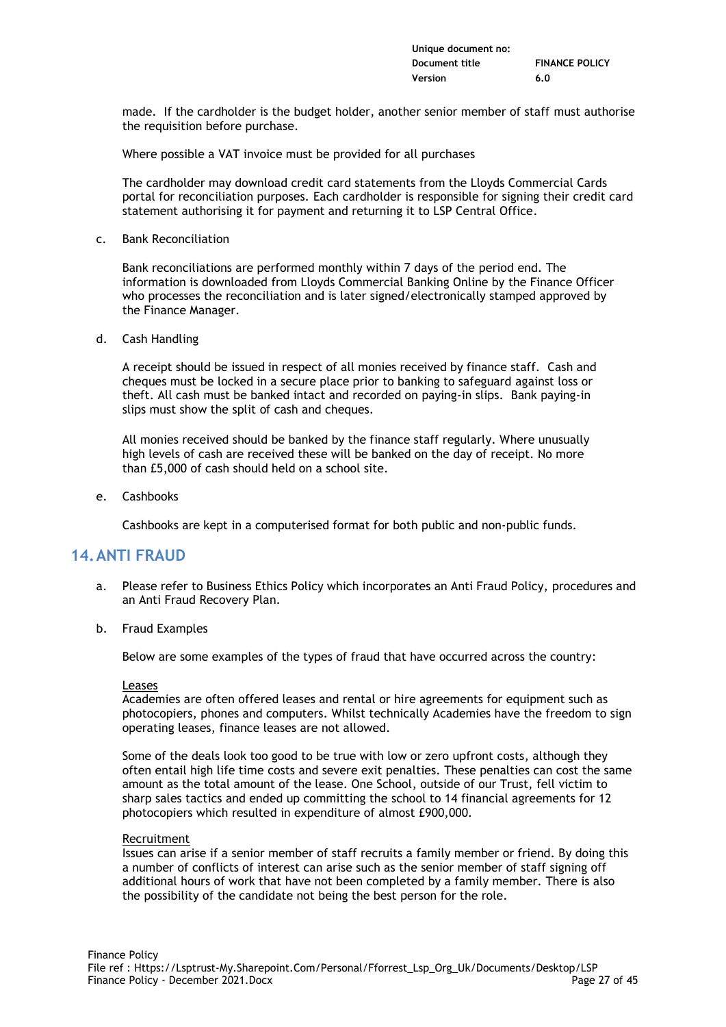| Unique document no: |                       |
|---------------------|-----------------------|
| Document title      | <b>FINANCE POLICY</b> |
| Version             | 6.0                   |

made. If the cardholder is the budget holder, another senior member of staff must authorise the requisition before purchase.

Where possible a VAT invoice must be provided for all purchases

The cardholder may download credit card statements from the Lloyds Commercial Cards portal for reconciliation purposes. Each cardholder is responsible for signing their credit card statement authorising it for payment and returning it to LSP Central Office.

c. Bank Reconciliation

Bank reconciliations are performed monthly within 7 days of the period end. The information is downloaded from Lloyds Commercial Banking Online by the Finance Officer who processes the reconciliation and is later signed/electronically stamped approved by the Finance Manager.

d. Cash Handling

A receipt should be issued in respect of all monies received by finance staff. Cash and cheques must be locked in a secure place prior to banking to safeguard against loss or theft. All cash must be banked intact and recorded on paying-in slips. Bank paying-in slips must show the split of cash and cheques.

All monies received should be banked by the finance staff regularly. Where unusually high levels of cash are received these will be banked on the day of receipt. No more than £5,000 of cash should held on a school site.

e. Cashbooks

Cashbooks are kept in a computerised format for both public and non-public funds.

# **14.ANTI FRAUD**

- a. Please refer to Business Ethics Policy which incorporates an Anti Fraud Policy, procedures and an Anti Fraud Recovery Plan.
- b. Fraud Examples

Below are some examples of the types of fraud that have occurred across the country:

#### Leases

Academies are often offered leases and rental or hire agreements for equipment such as photocopiers, phones and computers. Whilst technically Academies have the freedom to sign operating leases, finance leases are not allowed.

Some of the deals look too good to be true with low or zero upfront costs, although they often entail high life time costs and severe exit penalties. These penalties can cost the same amount as the total amount of the lease. One School, outside of our Trust, fell victim to sharp sales tactics and ended up committing the school to 14 financial agreements for 12 photocopiers which resulted in expenditure of almost £900,000.

#### Recruitment

Issues can arise if a senior member of staff recruits a family member or friend. By doing this a number of conflicts of interest can arise such as the senior member of staff signing off additional hours of work that have not been completed by a family member. There is also the possibility of the candidate not being the best person for the role.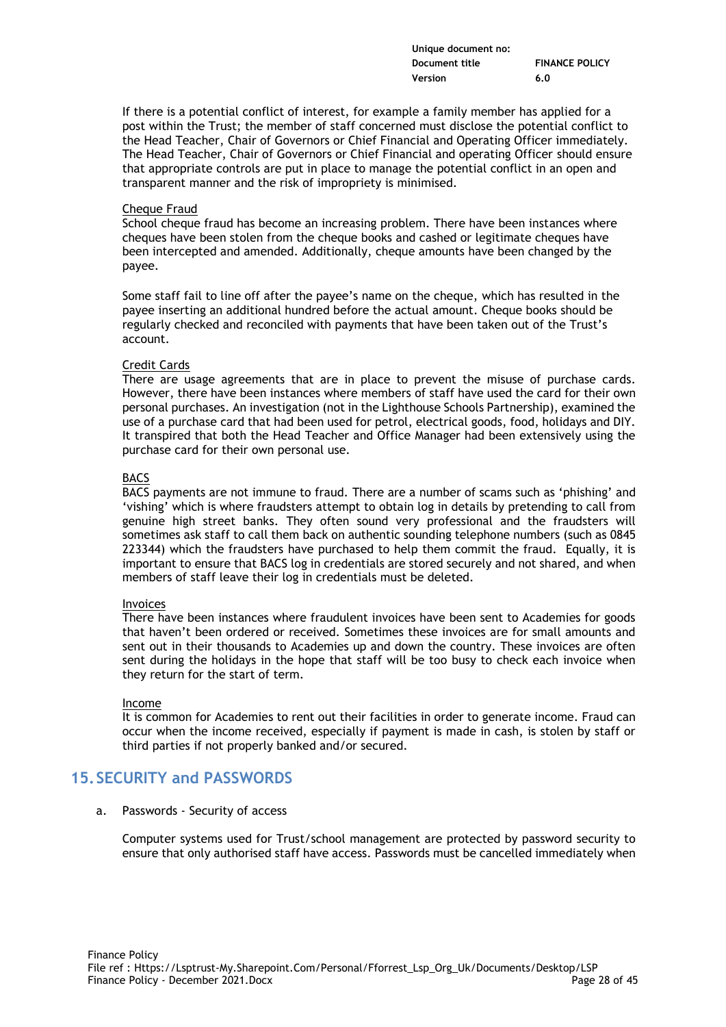| Unique document no: |                       |
|---------------------|-----------------------|
| Document title      | <b>FINANCE POLICY</b> |
| Version             | 6.0                   |

If there is a potential conflict of interest, for example a family member has applied for a post within the Trust; the member of staff concerned must disclose the potential conflict to the Head Teacher, Chair of Governors or Chief Financial and Operating Officer immediately. The Head Teacher, Chair of Governors or Chief Financial and operating Officer should ensure that appropriate controls are put in place to manage the potential conflict in an open and transparent manner and the risk of impropriety is minimised.

#### Cheque Fraud

School cheque fraud has become an increasing problem. There have been instances where cheques have been stolen from the cheque books and cashed or legitimate cheques have been intercepted and amended. Additionally, cheque amounts have been changed by the payee.

Some staff fail to line off after the payee's name on the cheque, which has resulted in the payee inserting an additional hundred before the actual amount. Cheque books should be regularly checked and reconciled with payments that have been taken out of the Trust's account.

#### Credit Cards

There are usage agreements that are in place to prevent the misuse of purchase cards. However, there have been instances where members of staff have used the card for their own personal purchases. An investigation (not in the Lighthouse Schools Partnership), examined the use of a purchase card that had been used for petrol, electrical goods, food, holidays and DIY. It transpired that both the Head Teacher and Office Manager had been extensively using the purchase card for their own personal use.

#### BACS

BACS payments are not immune to fraud. There are a number of scams such as 'phishing' and 'vishing' which is where fraudsters attempt to obtain log in details by pretending to call from genuine high street banks. They often sound very professional and the fraudsters will sometimes ask staff to call them back on authentic sounding telephone numbers (such as 0845 223344) which the fraudsters have purchased to help them commit the fraud. Equally, it is important to ensure that BACS log in credentials are stored securely and not shared, and when members of staff leave their log in credentials must be deleted.

#### Invoices

There have been instances where fraudulent invoices have been sent to Academies for goods that haven't been ordered or received. Sometimes these invoices are for small amounts and sent out in their thousands to Academies up and down the country. These invoices are often sent during the holidays in the hope that staff will be too busy to check each invoice when they return for the start of term.

#### Income

It is common for Academies to rent out their facilities in order to generate income. Fraud can occur when the income received, especially if payment is made in cash, is stolen by staff or third parties if not properly banked and/or secured.

# **15.SECURITY and PASSWORDS**

#### a. Passwords - Security of access

Computer systems used for Trust/school management are protected by password security to ensure that only authorised staff have access. Passwords must be cancelled immediately when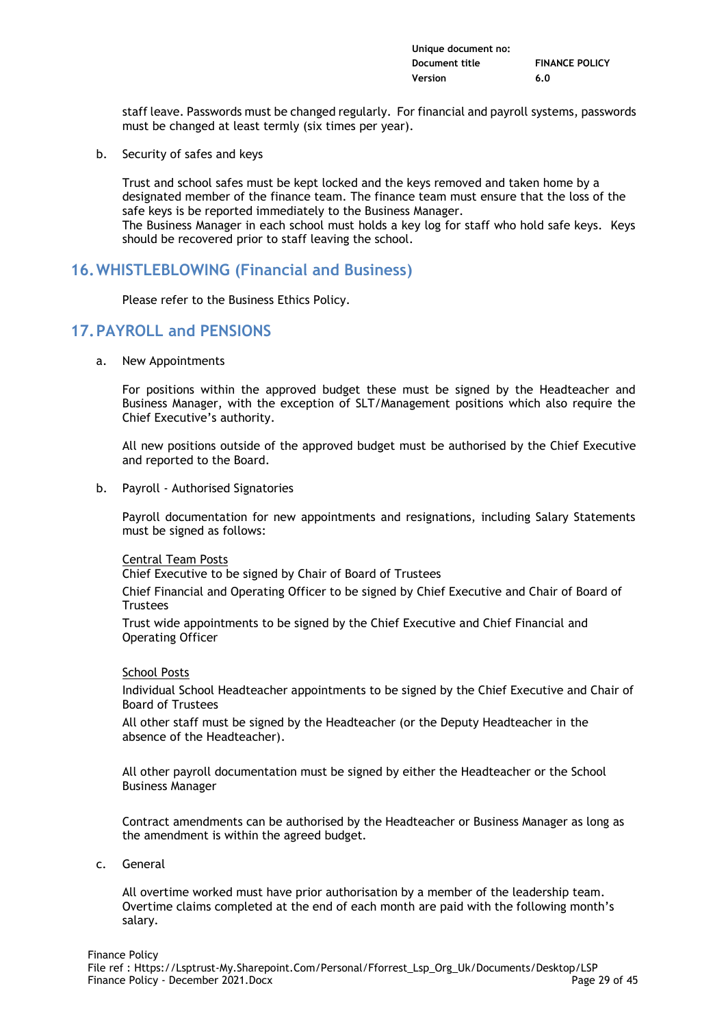| Unique document no: |                       |
|---------------------|-----------------------|
| Document title      | <b>FINANCE POLICY</b> |
| Version             | 6.0                   |

staff leave. Passwords must be changed regularly. For financial and payroll systems, passwords must be changed at least termly (six times per year).

b. Security of safes and keys

Trust and school safes must be kept locked and the keys removed and taken home by a designated member of the finance team. The finance team must ensure that the loss of the safe keys is be reported immediately to the Business Manager. The Business Manager in each school must holds a key log for staff who hold safe keys. Keys should be recovered prior to staff leaving the school.

# **16.WHISTLEBLOWING (Financial and Business)**

Please refer to the Business Ethics Policy.

# **17.PAYROLL and PENSIONS**

a. New Appointments

For positions within the approved budget these must be signed by the Headteacher and Business Manager, with the exception of SLT/Management positions which also require the Chief Executive's authority.

All new positions outside of the approved budget must be authorised by the Chief Executive and reported to the Board.

b. Payroll - Authorised Signatories

Payroll documentation for new appointments and resignations, including Salary Statements must be signed as follows:

#### Central Team Posts

Chief Executive to be signed by Chair of Board of Trustees

Chief Financial and Operating Officer to be signed by Chief Executive and Chair of Board of **Trustees** 

Trust wide appointments to be signed by the Chief Executive and Chief Financial and Operating Officer

#### School Posts

Individual School Headteacher appointments to be signed by the Chief Executive and Chair of Board of Trustees

All other staff must be signed by the Headteacher (or the Deputy Headteacher in the absence of the Headteacher).

All other payroll documentation must be signed by either the Headteacher or the School Business Manager

Contract amendments can be authorised by the Headteacher or Business Manager as long as the amendment is within the agreed budget.

c. General

All overtime worked must have prior authorisation by a member of the leadership team. Overtime claims completed at the end of each month are paid with the following month's salary.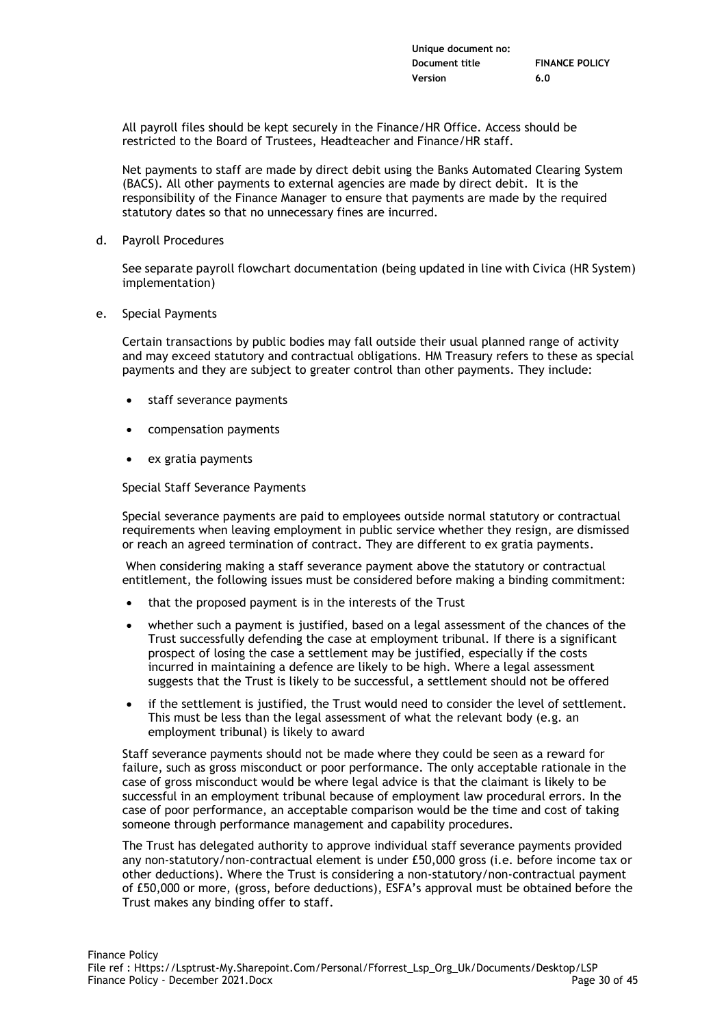All payroll files should be kept securely in the Finance/HR Office. Access should be restricted to the Board of Trustees, Headteacher and Finance/HR staff.

Net payments to staff are made by direct debit using the Banks Automated Clearing System (BACS). All other payments to external agencies are made by direct debit. It is the responsibility of the Finance Manager to ensure that payments are made by the required statutory dates so that no unnecessary fines are incurred.

d. Payroll Procedures

See separate payroll flowchart documentation (being updated in line with Civica (HR System) implementation)

e. Special Payments

Certain transactions by public bodies may fall outside their usual planned range of activity and may exceed statutory and contractual obligations. HM Treasury refers to these as special payments and they are subject to greater control than other payments. They include:

- staff severance payments
- compensation payments
- ex gratia payments

Special Staff Severance Payments

Special severance payments are paid to employees outside normal statutory or contractual requirements when leaving employment in public service whether they resign, are dismissed or reach an agreed termination of contract. They are different to ex gratia payments.

When considering making a staff severance payment above the statutory or contractual entitlement, the following issues must be considered before making a binding commitment:

- that the proposed payment is in the interests of the Trust
- whether such a payment is justified, based on a legal assessment of the chances of the Trust successfully defending the case at employment tribunal. If there is a significant prospect of losing the case a settlement may be justified, especially if the costs incurred in maintaining a defence are likely to be high. Where a legal assessment suggests that the Trust is likely to be successful, a settlement should not be offered
- if the settlement is justified, the Trust would need to consider the level of settlement. This must be less than the legal assessment of what the relevant body (e.g. an employment tribunal) is likely to award

Staff severance payments should not be made where they could be seen as a reward for failure, such as gross misconduct or poor performance. The only acceptable rationale in the case of gross misconduct would be where legal advice is that the claimant is likely to be successful in an employment tribunal because of employment law procedural errors. In the case of poor performance, an acceptable comparison would be the time and cost of taking someone through performance management and capability procedures.

The Trust has delegated authority to approve individual staff severance payments provided any non-statutory/non-contractual element is under £50,000 gross (i.e. before income tax or other deductions). Where the Trust is considering a non-statutory/non-contractual payment of £50,000 or more, (gross, before deductions), ESFA's approval must be obtained before the Trust makes any binding offer to staff.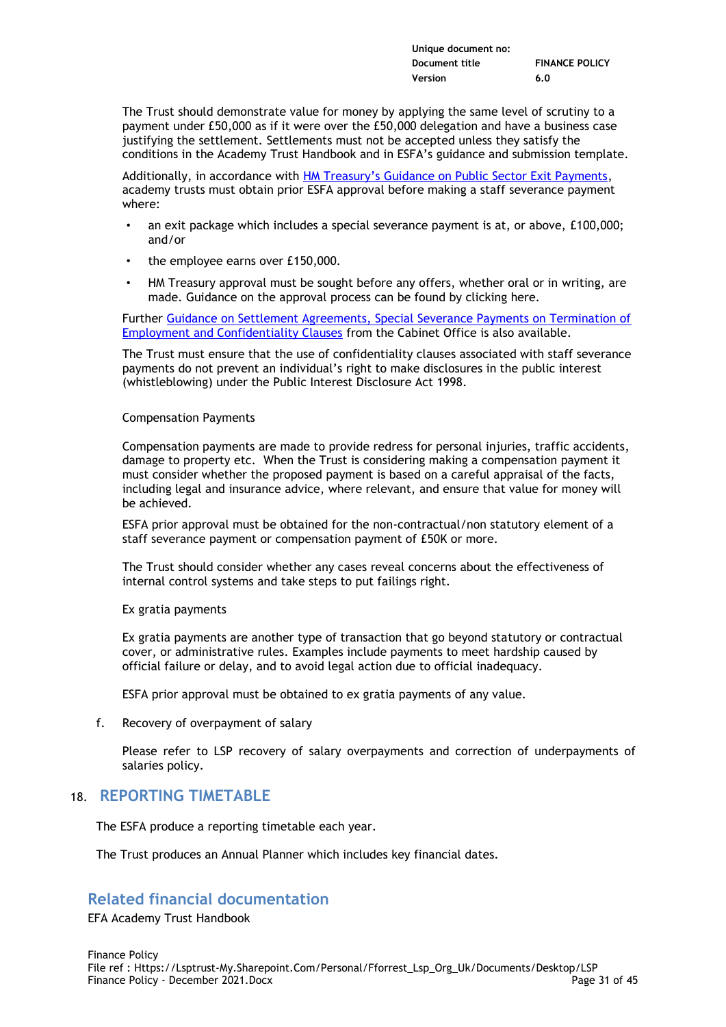| Unique document no: |                       |
|---------------------|-----------------------|
| Document title      | <b>FINANCE POLICY</b> |
| Version             | 6.0                   |

The Trust should demonstrate value for money by applying the same level of scrutiny to a payment under £50,000 as if it were over the £50,000 delegation and have a business case justifying the settlement. Settlements must not be accepted unless they satisfy the conditions in the Academy Trust Handbook and in ESFA's guidance and submission template.

Additionally, in accordance with [HM Treasury's Guidance on Public Sector Exit Payments](https://assets.publishing.service.gov.uk/government/uploads/system/uploads/attachment_data/file/989770/SPECIAL_SEVERANCE_GUIDANCE_v3_FINAL.pdf), academy trusts must obtain prior ESFA approval before making a staff severance payment where:

- an exit package which includes a special severance payment is at, or above, £100,000; and/or
- the employee earns over £150,000.
- HM Treasury approval must be sought before any offers, whether oral or in writing, are made. Guidance on the approval process can be found by clicking here.

Further [Guidance on Settlement Agreements, Special Severance Payments on Termination of](https://assets.publishing.service.gov.uk/government/uploads/system/uploads/attachment_data/file/817156/Cabinet-Office-guidance-on-settlement-agreements-special-severance-payments-on-termination-of-employment-and-confidentiality-clauses.pdf)  [Employment and Confidentiality Clauses](https://assets.publishing.service.gov.uk/government/uploads/system/uploads/attachment_data/file/817156/Cabinet-Office-guidance-on-settlement-agreements-special-severance-payments-on-termination-of-employment-and-confidentiality-clauses.pdf) from the Cabinet Office is also available.

The Trust must ensure that the use of confidentiality clauses associated with staff severance payments do not prevent an individual's right to make disclosures in the public interest (whistleblowing) under the Public Interest Disclosure Act 1998.

### Compensation Payments

Compensation payments are made to provide redress for personal injuries, traffic accidents, damage to property etc. When the Trust is considering making a compensation payment it must consider whether the proposed payment is based on a careful appraisal of the facts, including legal and insurance advice, where relevant, and ensure that value for money will be achieved.

ESFA prior approval must be obtained for the non-contractual/non statutory element of a staff severance payment or compensation payment of £50K or more.

The Trust should consider whether any cases reveal concerns about the effectiveness of internal control systems and take steps to put failings right.

#### Ex gratia payments

Ex gratia payments are another type of transaction that go beyond statutory or contractual cover, or administrative rules. Examples include payments to meet hardship caused by official failure or delay, and to avoid legal action due to official inadequacy.

ESFA prior approval must be obtained to ex gratia payments of any value.

f. Recovery of overpayment of salary

Please refer to LSP recovery of salary overpayments and correction of underpayments of salaries policy.

# 18. **REPORTING TIMETABLE**

The ESFA produce a reporting timetable each year.

The Trust produces an Annual Planner which includes key financial dates.

# **Related financial documentation**

EFA Academy Trust Handbook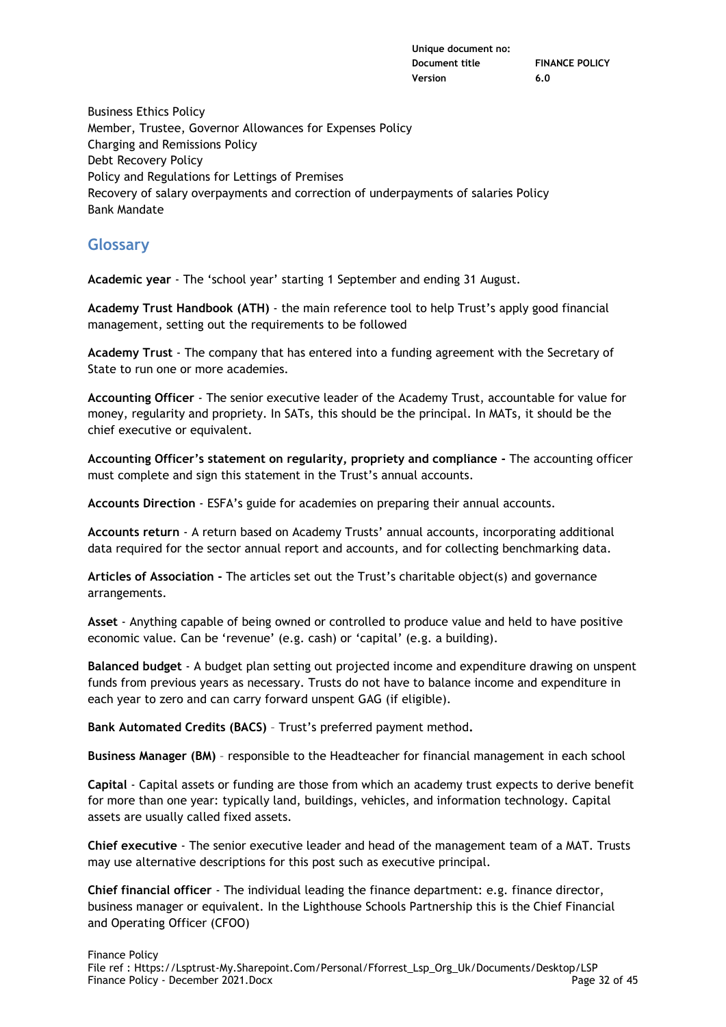Business Ethics Policy Member, Trustee, Governor Allowances for Expenses Policy Charging and Remissions Policy Debt Recovery Policy Policy and Regulations for Lettings of Premises Recovery of salary overpayments and correction of underpayments of salaries Policy Bank Mandate

# **Glossary**

**Academic year** - The 'school year' starting 1 September and ending 31 August.

**Academy Trust Handbook (ATH)** - the main reference tool to help Trust's apply good financial management, setting out the requirements to be followed

**Academy Trust** - The company that has entered into a funding agreement with the Secretary of State to run one or more academies.

**Accounting Officer** - The senior executive leader of the Academy Trust, accountable for value for money, regularity and propriety. In SATs, this should be the principal. In MATs, it should be the chief executive or equivalent.

**Accounting Officer's statement on regularity, propriety and compliance -** The accounting officer must complete and sign this statement in the Trust's annual accounts.

**Accounts Direction** - ESFA's guide for academies on preparing their annual accounts.

**Accounts return** - A return based on Academy Trusts' annual accounts, incorporating additional data required for the sector annual report and accounts, and for collecting benchmarking data.

**Articles of Association -** The articles set out the Trust's charitable object(s) and governance arrangements.

**Asset** - Anything capable of being owned or controlled to produce value and held to have positive economic value. Can be 'revenue' (e.g. cash) or 'capital' (e.g. a building).

**Balanced budget** - A budget plan setting out projected income and expenditure drawing on unspent funds from previous years as necessary. Trusts do not have to balance income and expenditure in each year to zero and can carry forward unspent GAG (if eligible).

**Bank Automated Credits (BACS)** – Trust's preferred payment method**.**

**Business Manager (BM)** – responsible to the Headteacher for financial management in each school

**Capital** - Capital assets or funding are those from which an academy trust expects to derive benefit for more than one year: typically land, buildings, vehicles, and information technology. Capital assets are usually called fixed assets.

**Chief executive** - The senior executive leader and head of the management team of a MAT. Trusts may use alternative descriptions for this post such as executive principal.

**Chief financial officer** - The individual leading the finance department: e.g. finance director, business manager or equivalent. In the Lighthouse Schools Partnership this is the Chief Financial and Operating Officer (CFOO)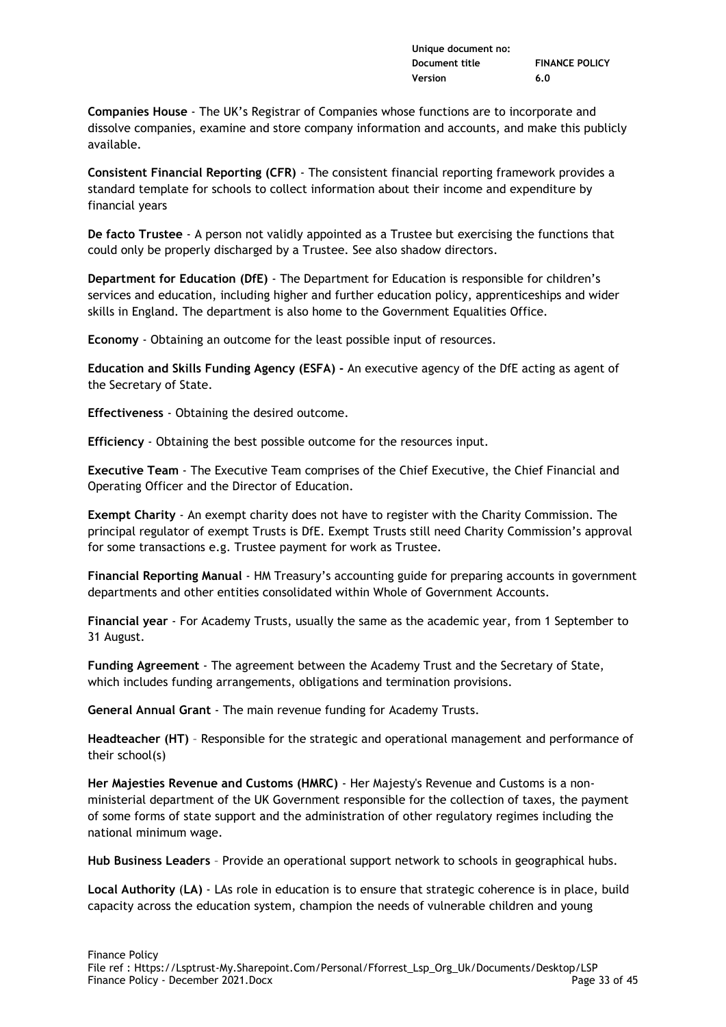| Unique document no: |                       |
|---------------------|-----------------------|
| Document title      | <b>FINANCE POLICY</b> |
| Version             | 6.0                   |

**Companies House** - The UK's Registrar of Companies whose functions are to incorporate and dissolve companies, examine and store company information and accounts, and make this publicly available.

**Consistent Financial Reporting (CFR)** - The consistent financial reporting framework provides a standard template for schools to collect information about their income and expenditure by financial years

**De facto Trustee** - A person not validly appointed as a Trustee but exercising the functions that could only be properly discharged by a Trustee. See also shadow directors.

**Department for Education (DfE)** - The Department for Education is responsible for children's services and education, including higher and further education policy, apprenticeships and wider skills in England. The department is also home to the Government Equalities Office.

**Economy** - Obtaining an outcome for the least possible input of resources.

**Education and Skills Funding Agency (ESFA) -** An executive agency of the DfE acting as agent of the Secretary of State.

**Effectiveness** - Obtaining the desired outcome.

**Efficiency** - Obtaining the best possible outcome for the resources input.

**Executive Team** - The Executive Team comprises of the Chief Executive, the Chief Financial and Operating Officer and the Director of Education.

**Exempt Charity** - An exempt charity does not have to register with the Charity Commission. The principal regulator of exempt Trusts is DfE. Exempt Trusts still need Charity Commission's approval for some transactions e.g. Trustee payment for work as Trustee.

**Financial Reporting Manual** - HM Treasury's accounting guide for preparing accounts in government departments and other entities consolidated within Whole of Government Accounts.

**Financial year** - For Academy Trusts, usually the same as the academic year, from 1 September to 31 August.

**Funding Agreement** - The agreement between the Academy Trust and the Secretary of State, which includes funding arrangements, obligations and termination provisions.

**General Annual Grant** - The main revenue funding for Academy Trusts.

**Headteacher (HT)** – Responsible for the strategic and operational management and performance of their school(s)

**Her Majesties Revenue and Customs (HMRC)** - Her Majesty's Revenue and Customs is a nonministerial department of the UK Government responsible for the collection of taxes, the payment of some forms of state support and the administration of other regulatory regimes including the national minimum wage.

**Hub Business Leaders** – Provide an operational support network to schools in geographical hubs.

**Local Authority** (**LA)** - LAs role in education is to ensure that strategic coherence is in place, build capacity across the education system, champion the needs of vulnerable children and young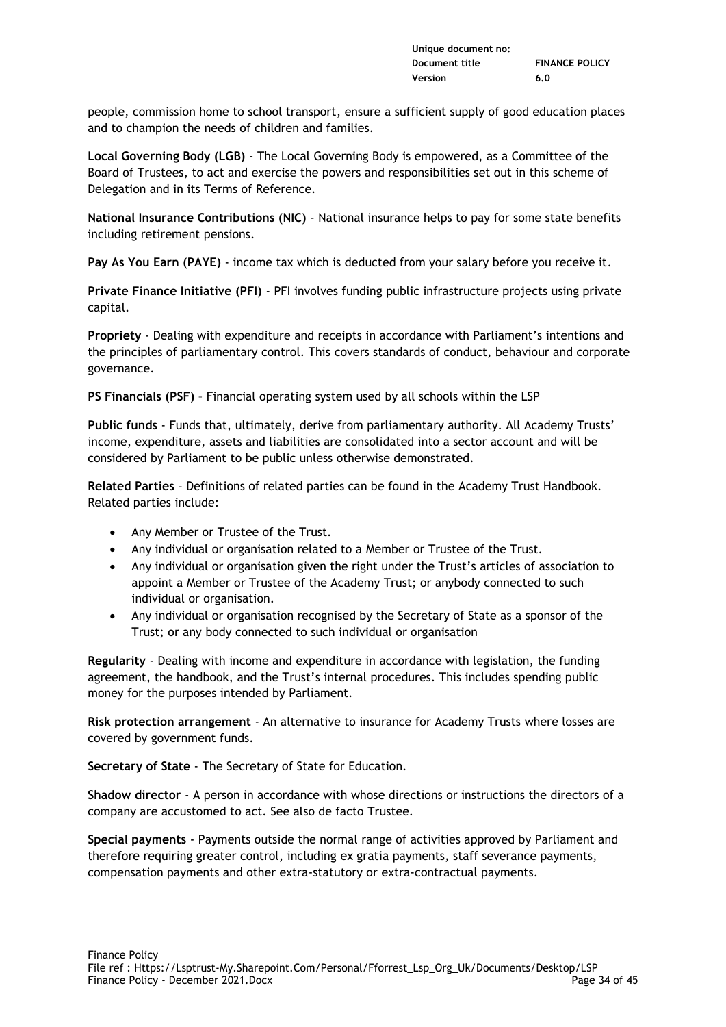| Unique document no: |                       |
|---------------------|-----------------------|
| Document title      | <b>FINANCE POLICY</b> |
| Version             | 6.0                   |

people, commission home to school transport, ensure a sufficient supply of good education places and to champion the needs of children and families.

**Local Governing Body (LGB)** - The Local Governing Body is empowered, as a Committee of the Board of Trustees, to act and exercise the powers and responsibilities set out in this scheme of Delegation and in its Terms of Reference.

**National Insurance Contributions (NIC)** - National insurance helps to pay for some state benefits including retirement pensions.

**Pay As You Earn (PAYE)** - income tax which is deducted from your salary before you receive it.

**Private Finance Initiative (PFI)** - PFI involves funding public infrastructure projects using private capital.

**Propriety** - Dealing with expenditure and receipts in accordance with Parliament's intentions and the principles of parliamentary control. This covers standards of conduct, behaviour and corporate governance.

**PS Financials (PSF)** – Financial operating system used by all schools within the LSP

**Public funds** - Funds that, ultimately, derive from parliamentary authority. All Academy Trusts' income, expenditure, assets and liabilities are consolidated into a sector account and will be considered by Parliament to be public unless otherwise demonstrated.

**Related Parties** – Definitions of related parties can be found in the Academy Trust Handbook. Related parties include:

- Any Member or Trustee of the Trust.
- Any individual or organisation related to a Member or Trustee of the Trust.
- Any individual or organisation given the right under the Trust's articles of association to appoint a Member or Trustee of the Academy Trust; or anybody connected to such individual or organisation.
- Any individual or organisation recognised by the Secretary of State as a sponsor of the Trust; or any body connected to such individual or organisation

**Regularity** - Dealing with income and expenditure in accordance with legislation, the funding agreement, the handbook, and the Trust's internal procedures. This includes spending public money for the purposes intended by Parliament.

**Risk protection arrangement** - An alternative to insurance for Academy Trusts where losses are covered by government funds.

**Secretary of State** - The Secretary of State for Education.

**Shadow director** - A person in accordance with whose directions or instructions the directors of a company are accustomed to act. See also de facto Trustee.

**Special payments** - Payments outside the normal range of activities approved by Parliament and therefore requiring greater control, including ex gratia payments, staff severance payments, compensation payments and other extra-statutory or extra-contractual payments.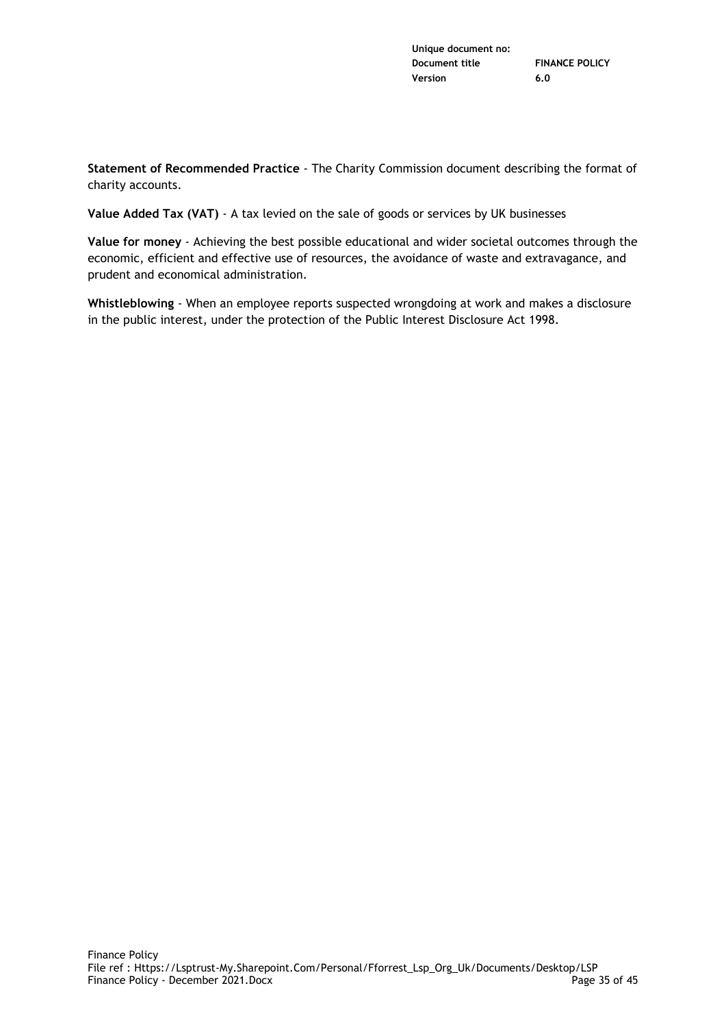**Statement of Recommended Practice** - The Charity Commission document describing the format of charity accounts.

**Value Added Tax (VAT)** - A tax levied on the sale of goods or services by UK businesses

**Value for money** - Achieving the best possible educational and wider societal outcomes through the economic, efficient and effective use of resources, the avoidance of waste and extravagance, and prudent and economical administration.

**Whistleblowing** - When an employee reports suspected wrongdoing at work and makes a disclosure in the public interest, under the protection of the Public Interest Disclosure Act 1998.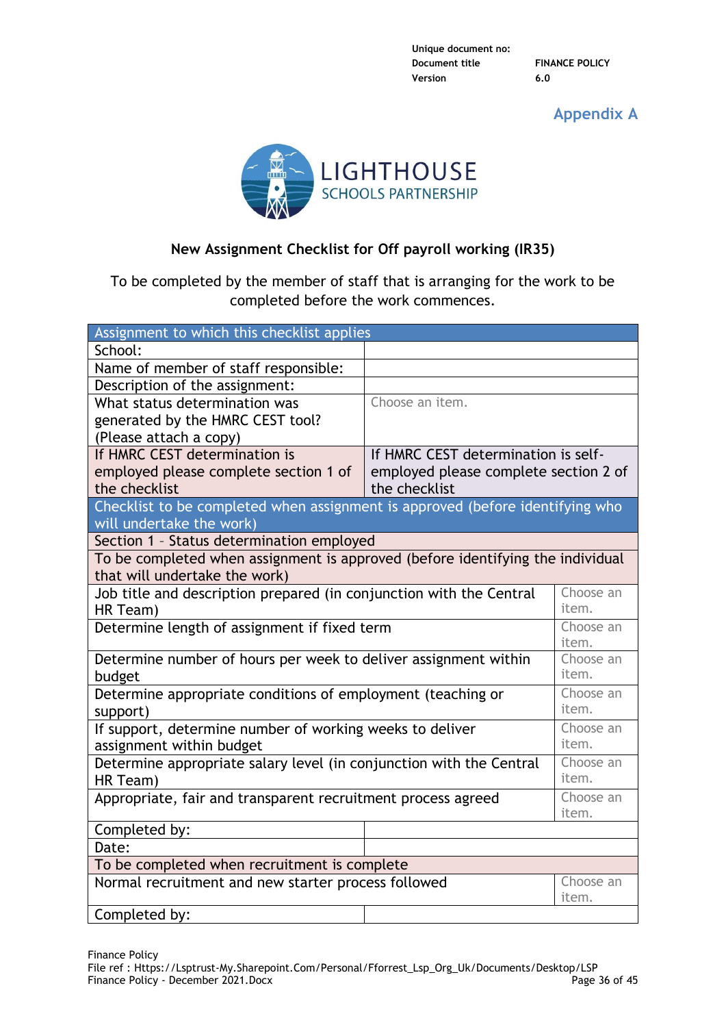**Appendix A**



# **New Assignment Checklist for Off payroll working (IR35)**

To be completed by the member of staff that is arranging for the work to be completed before the work commences.

| Assignment to which this checklist applies                                     |                                       |                    |
|--------------------------------------------------------------------------------|---------------------------------------|--------------------|
| School:                                                                        |                                       |                    |
| Name of member of staff responsible:                                           |                                       |                    |
| Description of the assignment:                                                 |                                       |                    |
| What status determination was                                                  | Choose an item.                       |                    |
| generated by the HMRC CEST tool?                                               |                                       |                    |
| (Please attach a copy)                                                         |                                       |                    |
| If HMRC CEST determination is                                                  | If HMRC CEST determination is self-   |                    |
| employed please complete section 1 of                                          | employed please complete section 2 of |                    |
| the checklist                                                                  | the checklist                         |                    |
| Checklist to be completed when assignment is approved (before identifying who  |                                       |                    |
| will undertake the work)                                                       |                                       |                    |
| Section 1 - Status determination employed                                      |                                       |                    |
| To be completed when assignment is approved (before identifying the individual |                                       |                    |
| that will undertake the work)                                                  |                                       |                    |
| Job title and description prepared (in conjunction with the Central            |                                       | Choose an<br>item. |
| HR Team)                                                                       |                                       | Choose an          |
| Determine length of assignment if fixed term                                   |                                       | item.              |
| Determine number of hours per week to deliver assignment within                |                                       | Choose an          |
| budget                                                                         |                                       | item.              |
| Determine appropriate conditions of employment (teaching or                    |                                       | Choose an          |
| support)                                                                       |                                       | item.              |
| If support, determine number of working weeks to deliver<br>Choose an          |                                       |                    |
| item.<br>assignment within budget                                              |                                       |                    |
| Determine appropriate salary level (in conjunction with the Central            |                                       | Choose an          |
| HR Team)                                                                       |                                       | item.              |
| Appropriate, fair and transparent recruitment process agreed                   |                                       | Choose an          |
|                                                                                |                                       | item.              |
| Completed by:                                                                  |                                       |                    |
| Date:                                                                          |                                       |                    |
| To be completed when recruitment is complete                                   |                                       |                    |
| Normal recruitment and new starter process followed<br>Choose an               |                                       |                    |
|                                                                                |                                       | item.              |
| Completed by:                                                                  |                                       |                    |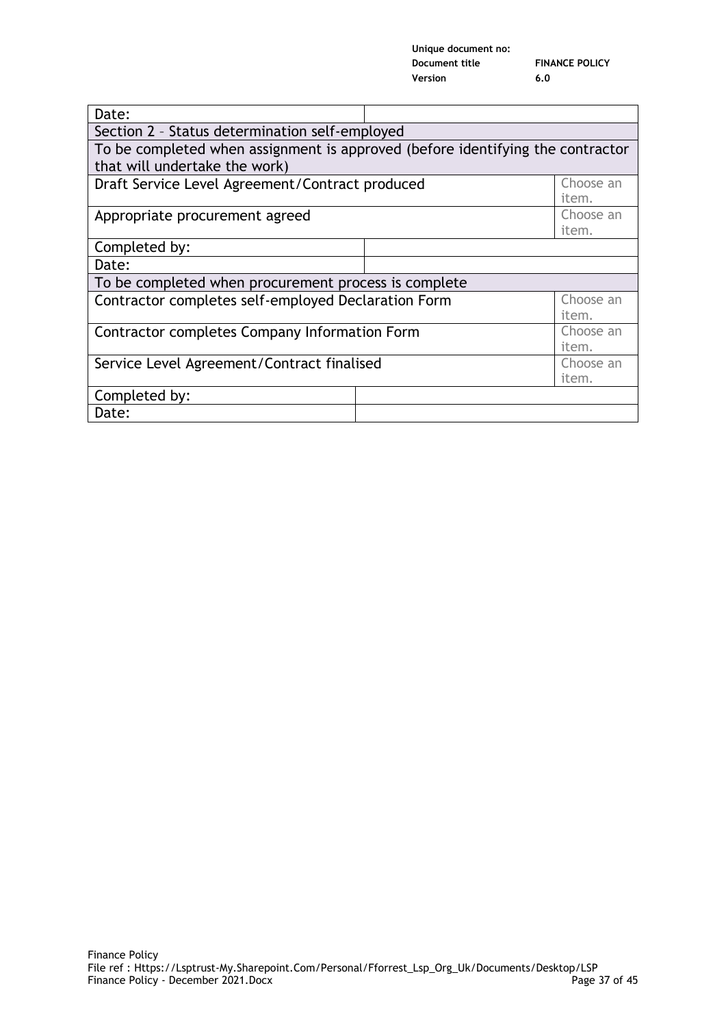| Unique document no: |                       |
|---------------------|-----------------------|
| Document title      | <b>FINANCE POLICY</b> |
| Version             | 6.0                   |

| Date:                                                                          |  |           |
|--------------------------------------------------------------------------------|--|-----------|
| Section 2 - Status determination self-employed                                 |  |           |
| To be completed when assignment is approved (before identifying the contractor |  |           |
| that will undertake the work)                                                  |  |           |
| Draft Service Level Agreement/Contract produced<br>Choose an                   |  |           |
|                                                                                |  | item.     |
| Appropriate procurement agreed                                                 |  | Choose an |
|                                                                                |  | item.     |
| Completed by:                                                                  |  |           |
| Date:                                                                          |  |           |
| To be completed when procurement process is complete                           |  |           |
| Contractor completes self-employed Declaration Form<br>Choose an               |  |           |
| item.                                                                          |  |           |
| Contractor completes Company Information Form                                  |  | Choose an |
| item.                                                                          |  |           |
| Service Level Agreement/Contract finalised                                     |  | Choose an |
| item.                                                                          |  |           |
| Completed by:                                                                  |  |           |
| Date:                                                                          |  |           |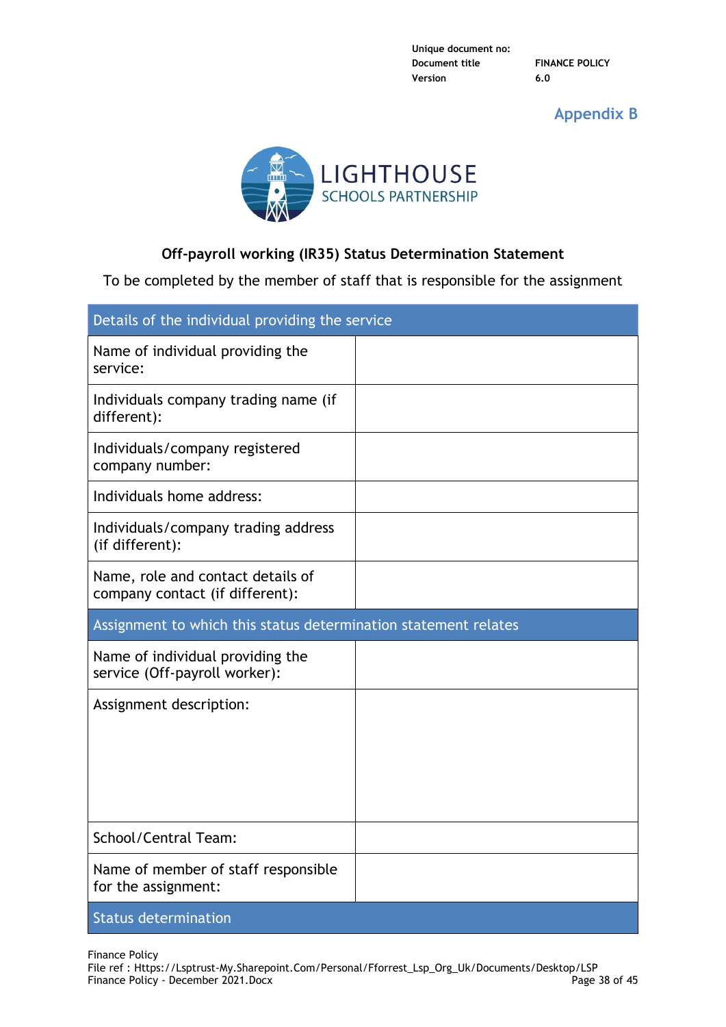**Appendix B**



# **Off-payroll working (IR35) Status Determination Statement**

To be completed by the member of staff that is responsible for the assignment

| Details of the individual providing the service                      |  |  |
|----------------------------------------------------------------------|--|--|
| Name of individual providing the<br>service:                         |  |  |
| Individuals company trading name (if<br>different):                  |  |  |
| Individuals/company registered<br>company number:                    |  |  |
| Individuals home address:                                            |  |  |
| Individuals/company trading address<br>(if different):               |  |  |
| Name, role and contact details of<br>company contact (if different): |  |  |
| Assignment to which this status determination statement relates      |  |  |
| Name of individual providing the<br>service (Off-payroll worker):    |  |  |
| Assignment description:                                              |  |  |
|                                                                      |  |  |
|                                                                      |  |  |
|                                                                      |  |  |
| School/Central Team:                                                 |  |  |
|                                                                      |  |  |
| Name of member of staff responsible<br>for the assignment:           |  |  |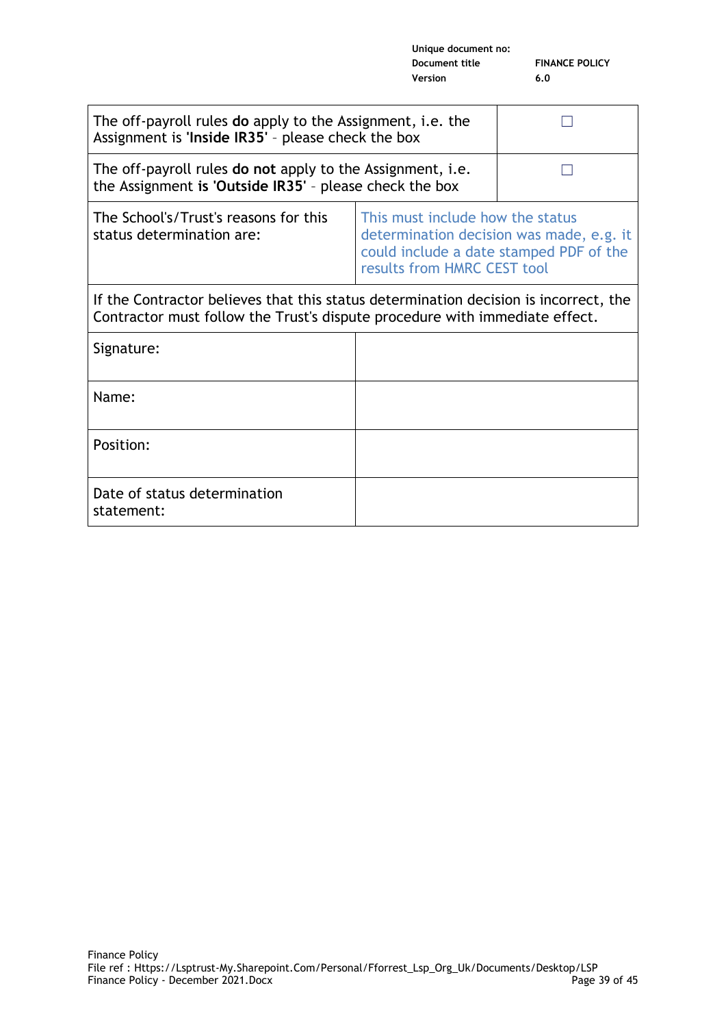| The off-payroll rules <b>do</b> apply to the Assignment, i.e. the<br>Assignment is 'Inside IR35' - please check the box                                             |                                                                                                                                                        |  |
|---------------------------------------------------------------------------------------------------------------------------------------------------------------------|--------------------------------------------------------------------------------------------------------------------------------------------------------|--|
| The off-payroll rules do not apply to the Assignment, i.e.<br>the Assignment is 'Outside $IR35'$ - please check the box                                             |                                                                                                                                                        |  |
| The School's/Trust's reasons for this<br>status determination are:                                                                                                  | This must include how the status<br>determination decision was made, e.g. it<br>could include a date stamped PDF of the<br>results from HMRC CEST tool |  |
| If the Contractor believes that this status determination decision is incorrect, the<br>Contractor must follow the Trust's dispute procedure with immediate effect. |                                                                                                                                                        |  |
| Signature:                                                                                                                                                          |                                                                                                                                                        |  |
| Name:                                                                                                                                                               |                                                                                                                                                        |  |
| Position:                                                                                                                                                           |                                                                                                                                                        |  |
| Date of status determination<br>statement:                                                                                                                          |                                                                                                                                                        |  |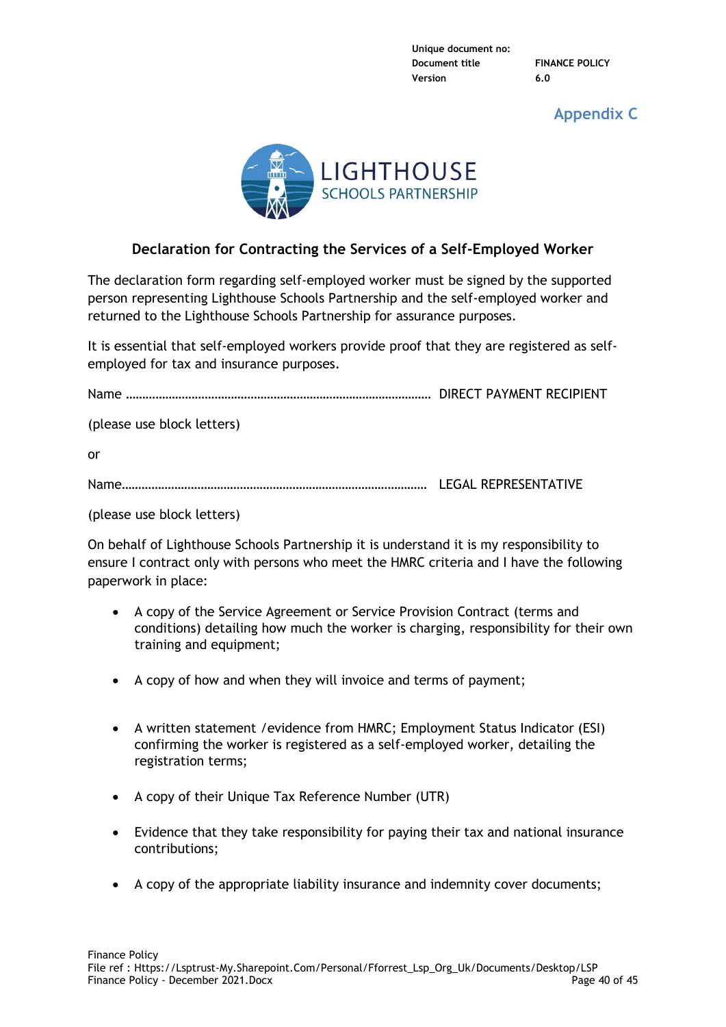**Appendix C**



# **Declaration for Contracting the Services of a Self-Employed Worker**

The declaration form regarding self-employed worker must be signed by the supported person representing Lighthouse Schools Partnership and the self-employed worker and returned to the Lighthouse Schools Partnership for assurance purposes.

It is essential that self-employed workers provide proof that they are registered as selfemployed for tax and insurance purposes.

Name ………………………………………………………………………………… DIRECT PAYMENT RECIPIENT

(please use block letters)

or

Name………………………………………………………………………………… LEGAL REPRESENTATIVE

(please use block letters)

On behalf of Lighthouse Schools Partnership it is understand it is my responsibility to ensure I contract only with persons who meet the HMRC criteria and I have the following paperwork in place:

- A copy of the Service Agreement or Service Provision Contract (terms and conditions) detailing how much the worker is charging, responsibility for their own training and equipment;
- A copy of how and when they will invoice and terms of payment;
- A written statement /evidence from HMRC; Employment Status Indicator (ESI) confirming the worker is registered as a self-employed worker, detailing the registration terms;
- A copy of their Unique Tax Reference Number (UTR)
- Evidence that they take responsibility for paying their tax and national insurance contributions;
- A copy of the appropriate liability insurance and indemnity cover documents;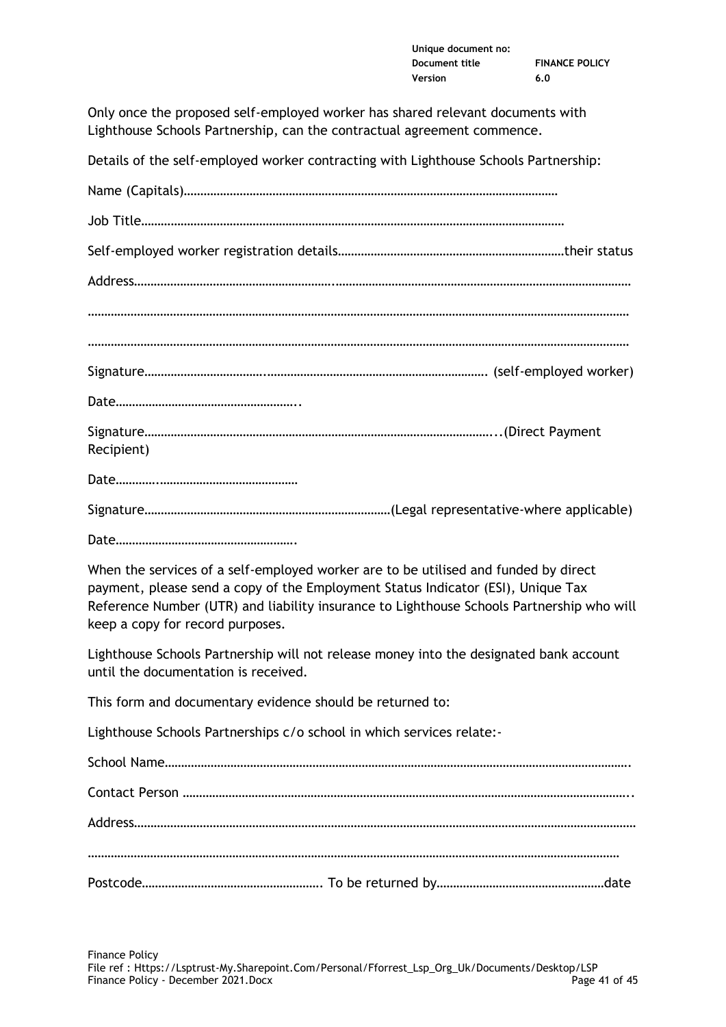| Unique document no: |                       |
|---------------------|-----------------------|
| Document title      | <b>FINANCE POLICY</b> |
| Version             | 6.0                   |

Only once the proposed self-employed worker has shared relevant documents with Lighthouse Schools Partnership, can the contractual agreement commence.

Details of the self-employed worker contracting with Lighthouse Schools Partnership:

| Recipient) |
|------------|
|            |
|            |
|            |

When the services of a self-employed worker are to be utilised and funded by direct payment, please send a copy of the Employment Status Indicator (ESI), Unique Tax Reference Number (UTR) and liability insurance to Lighthouse Schools Partnership who will keep a copy for record purposes.

Lighthouse Schools Partnership will not release money into the designated bank account until the documentation is received.

This form and documentary evidence should be returned to:

Lighthouse Schools Partnerships c/o school in which services relate:-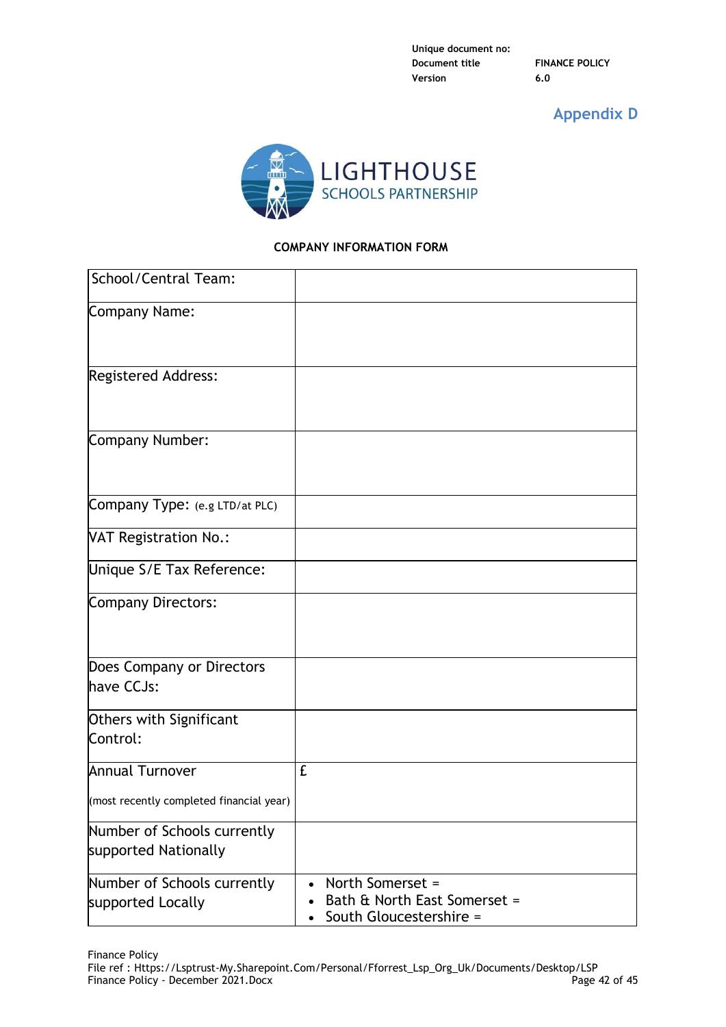# **Appendix D**



# **COMPANY INFORMATION FORM**

| School/Central Team:                                |                                                                                                       |
|-----------------------------------------------------|-------------------------------------------------------------------------------------------------------|
| Company Name:                                       |                                                                                                       |
| Registered Address:                                 |                                                                                                       |
| Company Number:                                     |                                                                                                       |
| Company Type: (e.g LTD/at PLC)                      |                                                                                                       |
| <b>VAT Registration No.:</b>                        |                                                                                                       |
| Unique S/E Tax Reference:                           |                                                                                                       |
| Company Directors:                                  |                                                                                                       |
| Does Company or Directors<br>have CCJs:             |                                                                                                       |
| Others with Significant<br>Control:                 |                                                                                                       |
| <b>Annual Turnover</b>                              | £                                                                                                     |
| (most recently completed financial year)            |                                                                                                       |
| Number of Schools currently<br>supported Nationally |                                                                                                       |
| Number of Schools currently<br>supported Locally    | North Somerset =<br>$\bullet$<br>Bath & North East Somerset =<br>South Gloucestershire =<br>$\bullet$ |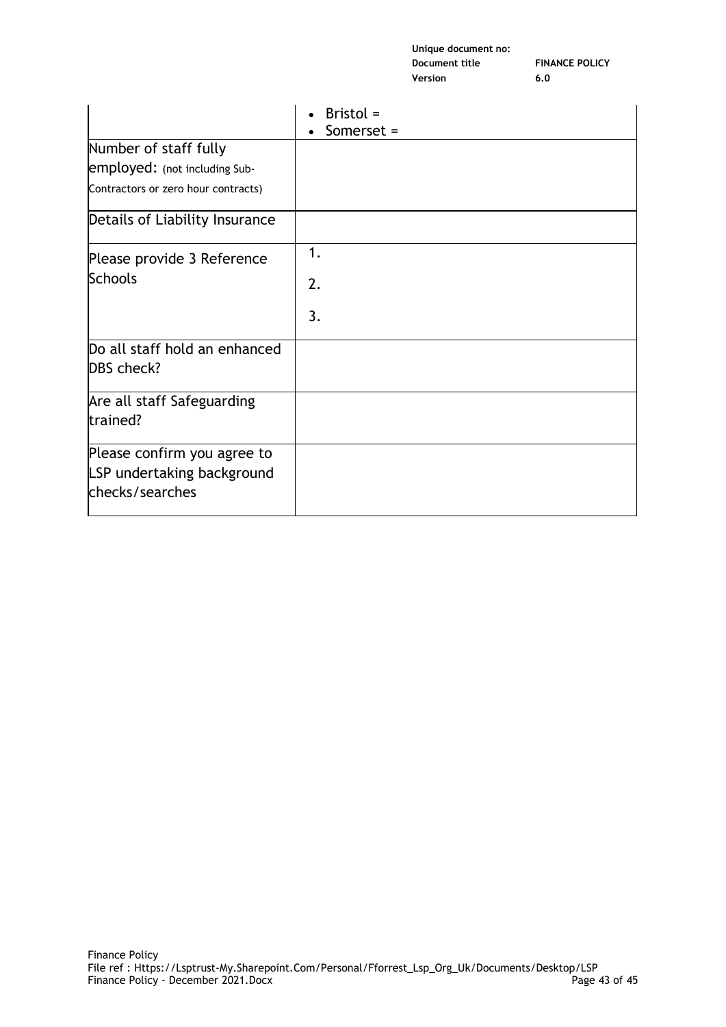| Unique document no: |                       |
|---------------------|-----------------------|
| Document title      | <b>FINANCE POLICY</b> |
| Version             | 6.0                   |

|                                                                              | Bristol =<br>Somerset = |
|------------------------------------------------------------------------------|-------------------------|
| Number of staff fully                                                        |                         |
| employed: (not including Sub-                                                |                         |
| Contractors or zero hour contracts)                                          |                         |
| Details of Liability Insurance                                               |                         |
| Please provide 3 Reference                                                   | 1.                      |
| <b>Schools</b>                                                               | 2.                      |
|                                                                              | 3.                      |
| Do all staff hold an enhanced<br>DBS check?                                  |                         |
| Are all staff Safeguarding<br>trained?                                       |                         |
| Please confirm you agree to<br>LSP undertaking background<br>checks/searches |                         |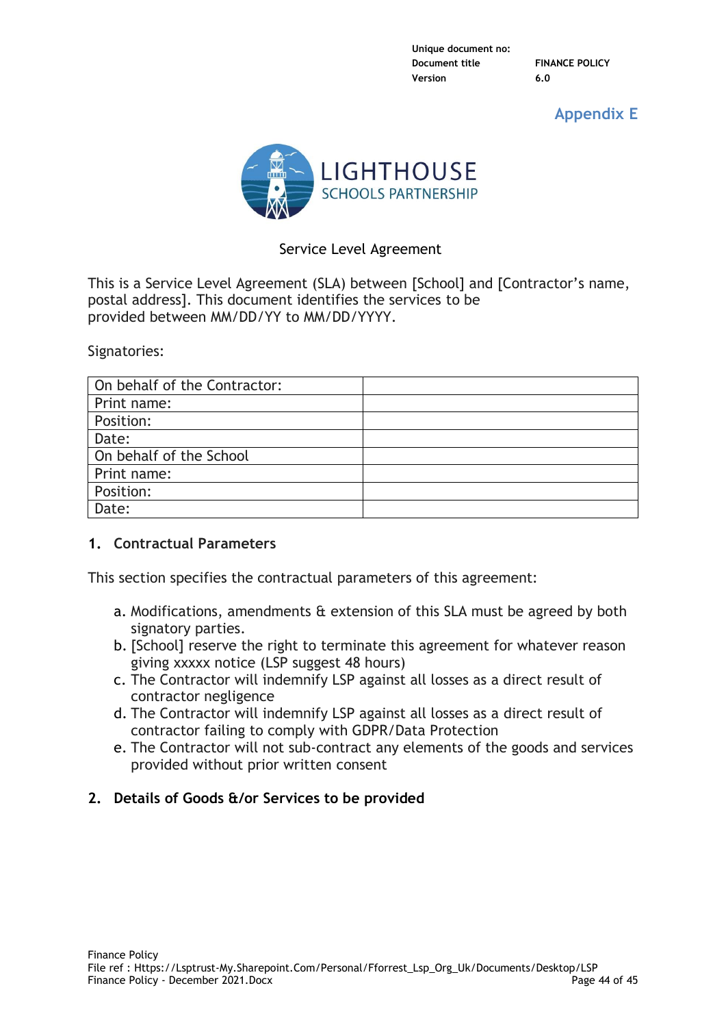**Appendix E**



# Service Level Agreement

This is a Service Level Agreement (SLA) between [School] and [Contractor's name, postal address]. This document identifies the services to be provided between MM/DD/YY to MM/DD/YYYY.

Signatories:

| On behalf of the Contractor: |  |
|------------------------------|--|
| Print name:                  |  |
| Position:                    |  |
| Date:                        |  |
| On behalf of the School      |  |
| Print name:                  |  |
| Position:                    |  |
| Date:                        |  |

# **1. Contractual Parameters**

This section specifies the contractual parameters of this agreement:

- a. Modifications, amendments & extension of this SLA must be agreed by both signatory parties.
- b. [School] reserve the right to terminate this agreement for whatever reason giving xxxxx notice (LSP suggest 48 hours)
- c. The Contractor will indemnify LSP against all losses as a direct result of contractor negligence
- d. The Contractor will indemnify LSP against all losses as a direct result of contractor failing to comply with GDPR/Data Protection
- e. The Contractor will not sub-contract any elements of the goods and services provided without prior written consent

# **2. Details of Goods &/or Services to be provided**